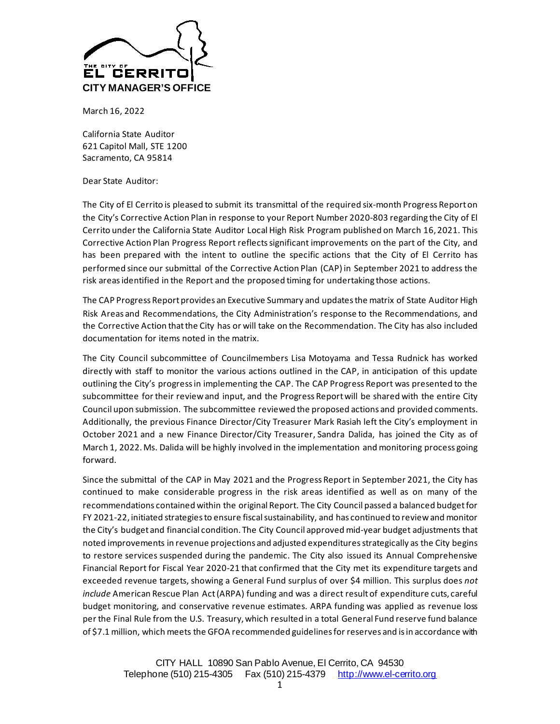

March 16, 2022

California State Auditor 621 Capitol Mall, STE 1200 Sacramento, CA 95814

Dear State Auditor:

The City of El Cerrito is pleased to submit its transmittal of the required six-month Progress Report on the City's Corrective Action Plan in response to your Report Number 2020-803 regarding the City of El Cerrito under the California State Auditor Local High Risk Program published on March 16, 2021. This Corrective Action Plan Progress Report reflectssignificant improvements on the part of the City, and has been prepared with the intent to outline the specific actions that the City of El Cerrito has performed since our submittal of the Corrective Action Plan (CAP) in September 2021 to address the risk areas identified in the Report and the proposed timing for undertaking those actions.

The CAP Progress Report provides an Executive Summary and updates the matrix of State Auditor High Risk Areas and Recommendations, the City Administration's response to the Recommendations, and the Corrective Action that the City has or will take on the Recommendation. The City has also included documentation for items noted in the matrix.

The City Council subcommittee of Councilmembers Lisa Motoyama and Tessa Rudnick has worked directly with staff to monitor the various actions outlined in the CAP, in anticipation of this update outlining the City's progress in implementing the CAP. The CAP Progress Report was presented to the subcommittee for their review and input, and the Progress Report will be shared with the entire City Council upon submission. The subcommittee reviewed the proposed actions and provided comments. Additionally, the previous Finance Director/City Treasurer Mark Rasiah left the City's employment in October 2021 and a new Finance Director/City Treasurer, Sandra Dalida, has joined the City as of March 1, 2022. Ms. Dalida will be highly involved in the implementation and monitoring process going forward.

Since the submittal of the CAP in May 2021 and the Progress Report in September 2021, the City has continued to make considerable progress in the risk areas identified as well as on many of the recommendations contained within the original Report. The City Council passed a balanced budgetfor FY 2021-22, initiated strategies to ensure fiscal sustainability, and has continued to review and monitor the City's budget and financial condition. The City Council approved mid-year budget adjustments that noted improvements in revenue projections and adjusted expenditures strategically as the City begins to restore services suspended during the pandemic. The City also issued its Annual Comprehensive Financial Report for Fiscal Year 2020-21 that confirmed that the City met its expenditure targets and exceeded revenue targets, showing a General Fund surplus of over \$4 million. This surplus does *not include* American Rescue Plan Act (ARPA) funding and was a direct result of expenditure cuts, careful budget monitoring, and conservative revenue estimates. ARPA funding was applied as revenue loss per the Final Rule from the U.S. Treasury, which resulted in a total General Fund reserve fund balance of \$7.1 million, which meets the GFOA recommended guidelines for reserves and is in accordance with

> CITY HALL 10890 San Pablo Avenue, El Cerrito, CA 94530 Telephone (510) 215-4305 Fax (510) 215-4379 [http://www.el-cerrito.org](http://www.el-cerrito.org/)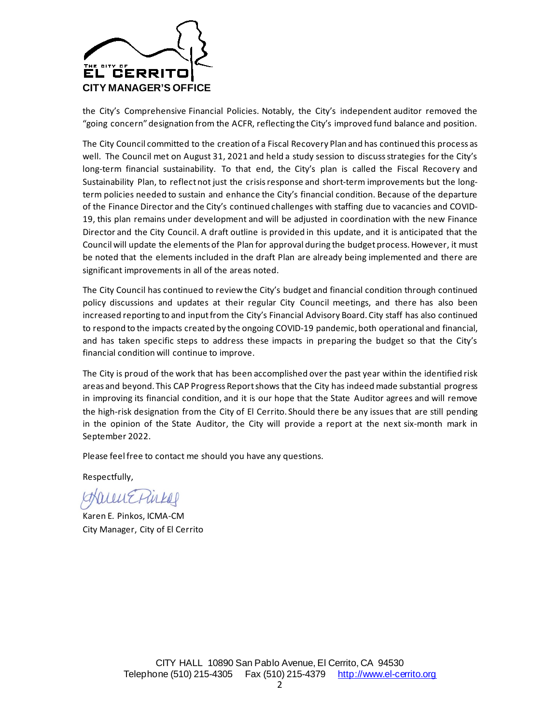

the City's Comprehensive Financial Policies. Notably, the City's independent auditor removed the "going concern" designation from the ACFR, reflecting the City's improved fund balance and position.

The City Council committed to the creation of a Fiscal Recovery Plan and has continued this process as well. The Council met on August 31, 2021 and held a study session to discuss strategies for the City's long-term financial sustainability. To that end, the City's plan is called the Fiscal Recovery and Sustainability Plan, to reflect not just the crisis response and short-term improvements but the longterm policies needed to sustain and enhance the City's financial condition. Because of the departure of the Finance Director and the City's continued challenges with staffing due to vacancies and COVID-19, this plan remains under development and will be adjusted in coordination with the new Finance Director and the City Council. A draft outline is provided in this update, and it is anticipated that the Council will update the elements of the Plan for approval during the budget process. However, it must be noted that the elements included in the draft Plan are already being implemented and there are significant improvements in all of the areas noted.

The City Council has continued to reviewthe City's budget and financial condition through continued policy discussions and updates at their regular City Council meetings, and there has also been increased reporting to and input from the City's Financial Advisory Board. City staff has also continued to respond to the impacts created by the ongoing COVID-19 pandemic, both operational and financial, and has taken specific steps to address these impacts in preparing the budget so that the City's financial condition will continue to improve.

The City is proud of the work that has been accomplished over the past year within the identified risk areas and beyond. This CAP Progress Report shows that the City has indeed made substantial progress in improving its financial condition, and it is our hope that the State Auditor agrees and will remove the high-risk designation from the City of El Cerrito. Should there be any issues that are still pending in the opinion of the State Auditor, the City will provide a report at the next six-month mark in September 2022.

Please feel free to contact me should you have any questions.

Respectfully,

HaunEPinkel

Karen E. Pinkos, ICMA-CM City Manager, City of El Cerrito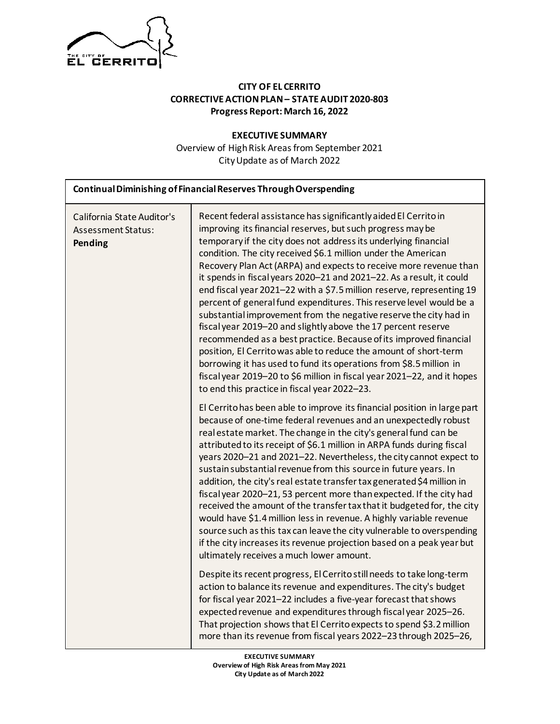

## **CITY OF EL CERRITO CORRECTIVE ACTION PLAN – STATE AUDIT 2020-803 Progress Report: March 16, 2022**

**EXECUTIVE SUMMARY** Overview of High Risk Areas from September 2021 City Update as of March 2022

| Continual Diminishing of Financial Reserves Through Overspending   |                                                                                                                                                                                                                                                                                                                                                                                                                                                                                                                                                                                                                                                                                                                                                                                                                                                                                                                                                                                                                                                |  |  |  |
|--------------------------------------------------------------------|------------------------------------------------------------------------------------------------------------------------------------------------------------------------------------------------------------------------------------------------------------------------------------------------------------------------------------------------------------------------------------------------------------------------------------------------------------------------------------------------------------------------------------------------------------------------------------------------------------------------------------------------------------------------------------------------------------------------------------------------------------------------------------------------------------------------------------------------------------------------------------------------------------------------------------------------------------------------------------------------------------------------------------------------|--|--|--|
| California State Auditor's<br><b>Assessment Status:</b><br>Pending | Recent federal assistance has significantly aided El Cerrito in<br>improving its financial reserves, but such progress may be<br>temporary if the city does not address its underlying financial<br>condition. The city received \$6.1 million under the American<br>Recovery Plan Act (ARPA) and expects to receive more revenue than<br>it spends in fiscal years 2020-21 and 2021-22. As a result, it could<br>end fiscal year 2021-22 with a \$7.5 million reserve, representing 19<br>percent of general fund expenditures. This reserve level would be a<br>substantial improvement from the negative reserve the city had in<br>fiscal year 2019-20 and slightly above the 17 percent reserve<br>recommended as a best practice. Because of its improved financial<br>position, El Cerrito was able to reduce the amount of short-term<br>borrowing it has used to fund its operations from \$8.5 million in<br>fiscal year 2019-20 to \$6 million in fiscal year 2021-22, and it hopes<br>to end this practice in fiscal year 2022-23. |  |  |  |
|                                                                    | El Cerrito has been able to improve its financial position in large part<br>because of one-time federal revenues and an unexpectedly robust<br>real estate market. The change in the city's general fund can be<br>attributed to its receipt of \$6.1 million in ARPA funds during fiscal<br>years 2020-21 and 2021-22. Nevertheless, the city cannot expect to<br>sustain substantial revenue from this source in future years. In<br>addition, the city's real estate transfer tax generated \$4 million in<br>fiscal year 2020-21, 53 percent more than expected. If the city had<br>received the amount of the transfer tax that it budgeted for, the city<br>would have \$1.4 million less in revenue. A highly variable revenue<br>source such as this tax can leave the city vulnerable to overspending<br>if the city increases its revenue projection based on a peak year but<br>ultimately receives a much lower amount.                                                                                                            |  |  |  |
|                                                                    | Despite its recent progress, El Cerrito still needs to take long-term<br>action to balance its revenue and expenditures. The city's budget<br>for fiscal year 2021-22 includes a five-year forecast that shows<br>expected revenue and expenditures through fiscal year 2025-26.<br>That projection shows that El Cerrito expects to spend \$3.2 million<br>more than its revenue from fiscal years 2022-23 through 2025-26,                                                                                                                                                                                                                                                                                                                                                                                                                                                                                                                                                                                                                   |  |  |  |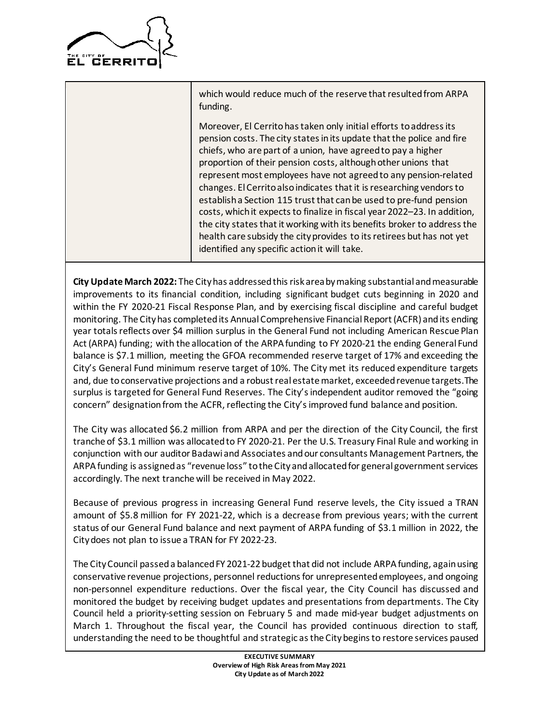

which would reduce much of the reserve that resulted from ARPA funding.

Moreover, El Cerrito has taken only initial efforts to address its pension costs. The city states in its update that the police and fire chiefs, who are part of a union, have agreed to pay a higher proportion of their pension costs, although other unions that represent most employees have not agreed to any pension-related changes. El Cerrito also indicates that it is researching vendors to establish a Section 115 trust that can be used to pre-fund pension costs, which it expects to finalize in fiscal year 2022–23. In addition, the city states that it working with its benefits broker to address the health care subsidy the city provides to its retirees but has not yet identified any specific action it will take.

**City Update March 2022:** The Cityhas addressed this risk area by making substantial and measurable improvements to its financial condition, including significant budget cuts beginning in 2020 and within the FY 2020-21 Fiscal Response Plan, and by exercising fiscal discipline and careful budget monitoring. The Cityhas completed its Annual Comprehensive Financial Report (ACFR) and its ending year totals reflects over \$4 million surplus in the General Fund not including American Rescue Plan Act (ARPA) funding; with the allocation of the ARPA funding to FY 2020-21 the ending General Fund balance is \$7.1 million, meeting the GFOA recommended reserve target of 17% and exceeding the City's General Fund minimum reserve target of 10%. The City met its reduced expenditure targets and, due to conservative projections and a robust real estate market, exceeded revenue targets. The surplus is targeted for General Fund Reserves. The City's independent auditor removed the "going concern" designation from the ACFR, reflecting the City's improved fund balance and position.

The City was allocated \$6.2 million from ARPA and per the direction of the City Council, the first tranche of \$3.1 million was allocated to FY 2020-21. Per the U.S. Treasury Final Rule and working in conjunction with our auditor Badawi and Associates and our consultants Management Partners, the ARPA funding is assignedas "revenue loss" to the City and allocated for general government services accordingly. The next tranche will be received in May 2022.

Because of previous progress in increasing General Fund reserve levels, the City issued a TRAN amount of \$5.8 million for FY 2021-22, which is a decrease from previous years; with the current status of our General Fund balance and next payment of ARPA funding of \$3.1 million in 2022, the City does not plan to issue a TRAN for FY 2022-23.

The City Council passed a balanced FY 2021-22 budget that did not include ARPA funding, again using conservative revenue projections, personnel reductions for unrepresented employees, and ongoing non-personnel expenditure reductions. Over the fiscal year, the City Council has discussed and monitored the budget by receiving budget updates and presentations from departments. The City Council held a priority-setting session on February 5 and made mid-year budget adjustments on March 1. Throughout the fiscal year, the Council has provided continuous direction to staff, understanding the need to be thoughtful and strategic as the City begins to restore services paused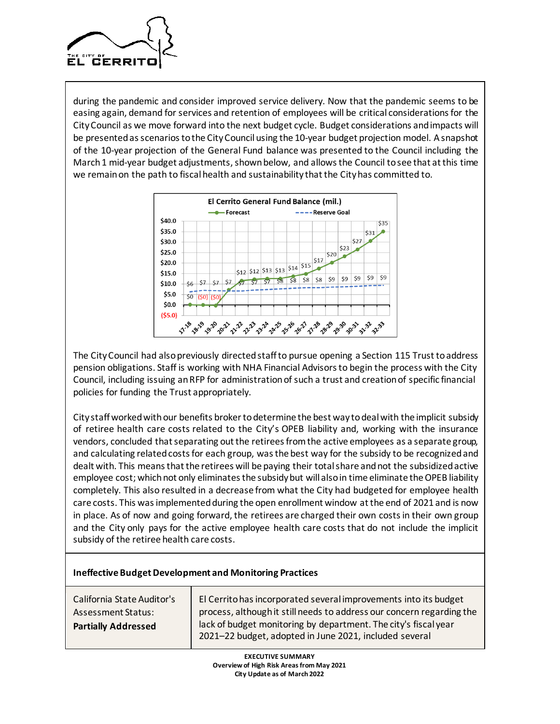

during the pandemic and consider improved service delivery. Now that the pandemic seems to be easing again, demand for services and retention of employees will be critical considerations for the City Council as we move forward into the next budget cycle. Budget considerations and impacts will be presented as scenarios to the City Council using the 10-year budget projection model. A snapshot of the 10-year projection of the General Fund balance was presented to the Council including the March 1 mid-year budget adjustments, shown below, and allows the Council to see that at this time we remain on the path to fiscal health and sustainability that the City has committed to.



The City Council had also previously directed staff to pursue opening a Section 115 Trust to address pension obligations. Staff is working with NHA Financial Advisors to begin the process with the City Council, including issuing an RFP for administration of such a trust and creation of specific financial policies for funding the Trust appropriately.

City staff worked with our benefits broker to determine the best way to deal with the implicit subsidy of retiree health care costs related to the City's OPEB liability and, working with the insurance vendors, concluded that separating out the retirees from the active employees as a separate group, and calculating related costs for each group, was the best way for the subsidy to be recognized and dealt with. This means that the retirees will be paying their total share and not the subsidized active employee cost; which not only eliminates the subsidy but will also in time eliminate the OPEB liability completely. This also resulted in a decrease from what the City had budgeted for employee health care costs. This was implemented during the open enrollment window at the end of 2021 and is now in place. As of now and going forward, the retirees are charged their own costs in their own group and the City only pays for the active employee health care costs that do not include the implicit subsidy of the retiree health care costs.

| <b>Ineffective Budget Development and Monitoring Practices</b>                        |                                                                                                                                                                                                                                                                        |  |  |
|---------------------------------------------------------------------------------------|------------------------------------------------------------------------------------------------------------------------------------------------------------------------------------------------------------------------------------------------------------------------|--|--|
| California State Auditor's<br><b>Assessment Status:</b><br><b>Partially Addressed</b> | El Cerrito has incorporated several improvements into its budget<br>process, although it still needs to address our concern regarding the<br>lack of budget monitoring by department. The city's fiscal year<br>2021-22 budget, adopted in June 2021, included several |  |  |
|                                                                                       |                                                                                                                                                                                                                                                                        |  |  |

**EXECUTIVE SUMMARY Overview of High Risk Areas from May 2021 City Update as of March 2022**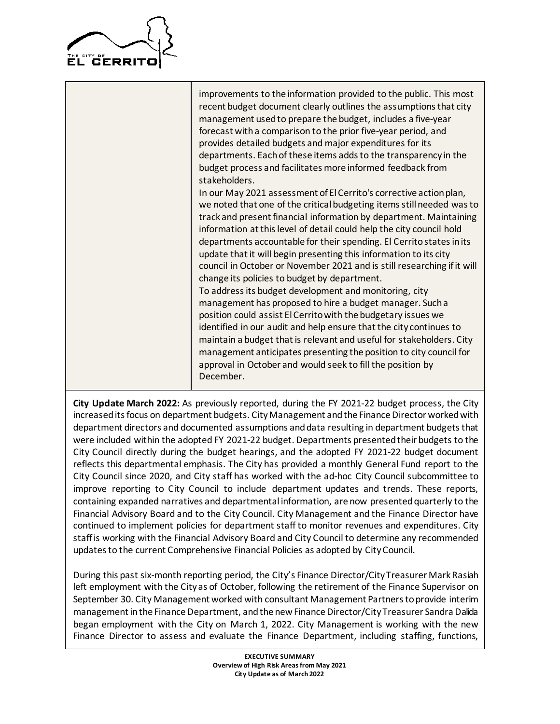

improvements to the information provided to the public. This most recent budget document clearly outlines the assumptions that city management used to prepare the budget, includes a five-year forecast with a comparison to the prior five-year period, and provides detailed budgets and major expenditures for its departments. Each of these items adds to the transparency in the budget process and facilitates more informed feedback from stakeholders.

In our May 2021 assessment of El Cerrito's corrective action plan, we noted that one of the critical budgeting items still needed was to track and present financial information by department. Maintaining information at this level of detail could help the city council hold departments accountable for their spending. El Cerrito states in its update that it will begin presenting this information to its city council in October or November 2021 and is still researching if it will change its policies to budget by department.

To address its budget development and monitoring, city management has proposed to hire a budget manager. Such a position could assist El Cerrito with the budgetary issues we identified in our audit and help ensure that the city continues to maintain a budget that is relevant and useful for stakeholders. City management anticipates presenting the position to city council for approval in October and would seek to fill the position by December.

**City Update March 2022:** As previously reported, during the FY 2021-22 budget process, the City increased its focus on department budgets. City Management and the Finance Director worked with department directors and documented assumptions and data resulting in department budgets that were included within the adopted FY 2021-22 budget. Departments presented their budgets to the City Council directly during the budget hearings, and the adopted FY 2021-22 budget document reflects this departmental emphasis. The City has provided a monthly General Fund report to the City Council since 2020, and City staff has worked with the ad-hoc City Council subcommittee to improve reporting to City Council to include department updates and trends. These reports, containing expanded narratives and departmental information, are now presented quarterly to the Financial Advisory Board and to the City Council. City Management and the Finance Director have continued to implement policies for department staff to monitor revenues and expenditures. City staff is working with the Financial Advisory Board and City Council to determine any recommended updates to the current Comprehensive Financial Policies as adopted by City Council.

During this past six-month reporting period, the City's Finance Director/City Treasurer Mark Rasiah left employment with the City as of October, following the retirement of the Finance Supervisor on September 30. City Management worked with consultant Management Partners to provide interim management in the Finance Department, and the new Finance Director/City Treasurer Sandra Dalida began employment with the City on March 1, 2022. City Management is working with the new Finance Director to assess and evaluate the Finance Department, including staffing, functions,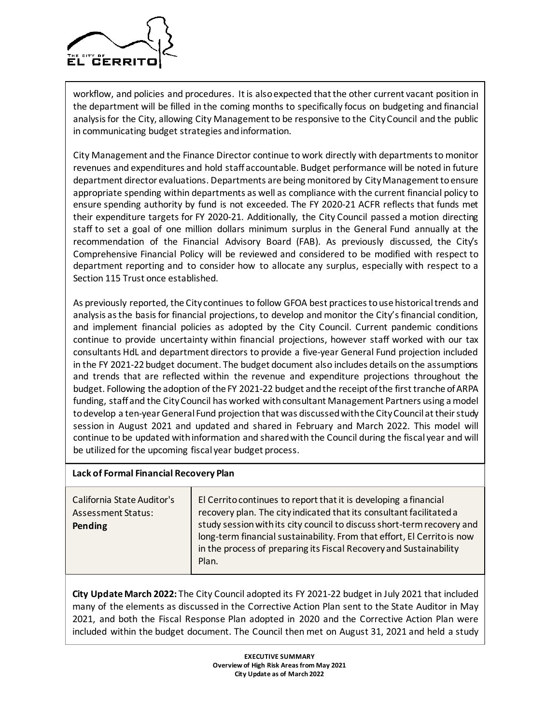

workflow, and policies and procedures. It is also expected that the other current vacant position in the department will be filled in the coming months to specifically focus on budgeting and financial analysis for the City, allowing City Management to be responsive to the City Council and the public in communicating budget strategies and information.

City Management and the Finance Director continue to work directly with departments to monitor revenues and expenditures and hold staff accountable. Budget performance will be noted in future department director evaluations. Departments are being monitored by City Management to ensure appropriate spending within departments as well as compliance with the current financial policy to ensure spending authority by fund is not exceeded. The FY 2020-21 ACFR reflects that funds met their expenditure targets for FY 2020-21. Additionally, the City Council passed a motion directing staff to set a goal of one million dollars minimum surplus in the General Fund annually at the recommendation of the Financial Advisory Board (FAB). As previously discussed, the City's Comprehensive Financial Policy will be reviewed and considered to be modified with respect to department reporting and to consider how to allocate any surplus, especially with respect to a Section 115 Trust once established.

As previously reported, the City continues to follow GFOA best practices to use historical trends and analysis as the basis for financial projections, to develop and monitor the City's financial condition, and implement financial policies as adopted by the City Council. Current pandemic conditions continue to provide uncertainty within financial projections, however staff worked with our tax consultants HdL and department directors to provide a five-year General Fund projection included in the FY 2021-22 budget document. The budget document also includes details on the assumptions and trends that are reflected within the revenue and expenditure projections throughout the budget. Following the adoption of the FY 2021-22 budget and the receipt of the first tranche of ARPA funding, staff and the City Council has worked with consultant Management Partners using a model to develop a ten-year General Fund projection that was discussed with the City Council at their study session in August 2021 and updated and shared in February and March 2022. This model will continue to be updated with information and shared with the Council during the fiscal year and will be utilized for the upcoming fiscal year budget process.

#### **Lack of Formal Financial Recovery Plan**

California State Auditor's Assessment Status: **Pending** El Cerrito continues to report that it is developing a financial recovery plan. The city indicated that its consultant facilitated a study session with its city council to discuss short-term recovery and long-term financial sustainability. From that effort, El Cerrito is now in the process of preparing its Fiscal Recovery and Sustainability Plan.

**City Update March 2022:** The City Council adopted its FY 2021-22 budget in July 2021 that included many of the elements as discussed in the Corrective Action Plan sent to the State Auditor in May 2021, and both the Fiscal Response Plan adopted in 2020 and the Corrective Action Plan were included within the budget document. The Council then met on August 31, 2021 and held a study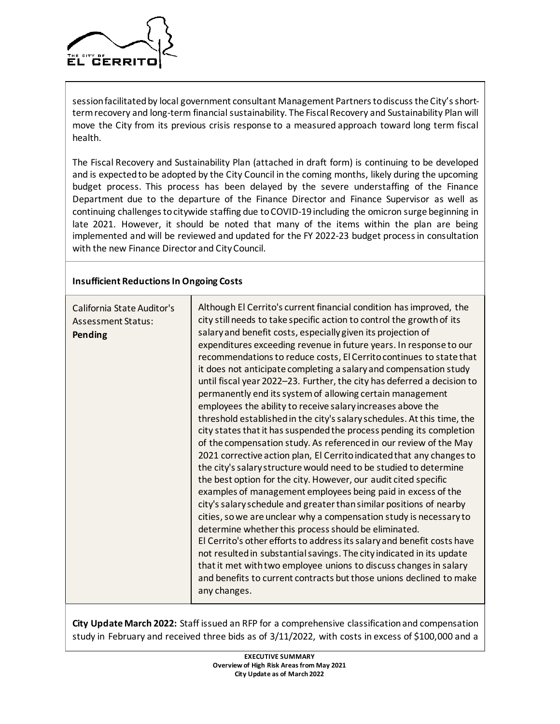

session facilitated by local government consultant Management Partners to discuss the City's shortterm recovery and long-term financial sustainability. The Fiscal Recovery and Sustainability Plan will move the City from its previous crisis response to a measured approach toward long term fiscal health.

The Fiscal Recovery and Sustainability Plan (attached in draft form) is continuing to be developed and is expected to be adopted by the City Council in the coming months, likely during the upcoming budget process. This process has been delayed by the severe understaffing of the Finance Department due to the departure of the Finance Director and Finance Supervisor as well as continuing challenges to citywide staffing due to COVID-19 including the omicron surge beginning in late 2021. However, it should be noted that many of the items within the plan are being implemented and will be reviewed and updated for the FY 2022-23 budget process in consultation with the new Finance Director and City Council.

#### **Insufficient Reductions In Ongoing Costs**

| California State Auditor's<br><b>Assessment Status:</b><br>Pending | Although El Cerrito's current financial condition has improved, the<br>city still needs to take specific action to control the growth of its<br>salary and benefit costs, especially given its projection of<br>expenditures exceeding revenue in future years. In response to our<br>recommendations to reduce costs, El Cerrito continues to state that<br>it does not anticipate completing a salary and compensation study<br>until fiscal year 2022-23. Further, the city has deferred a decision to<br>permanently end its system of allowing certain management<br>employees the ability to receive salary increases above the<br>threshold established in the city's salary schedules. At this time, the<br>city states that it has suspended the process pending its completion<br>of the compensation study. As referenced in our review of the May<br>2021 corrective action plan, El Cerrito indicated that any changes to<br>the city's salary structure would need to be studied to determine<br>the best option for the city. However, our audit cited specific<br>examples of management employees being paid in excess of the<br>city's salary schedule and greater than similar positions of nearby<br>cities, so we are unclear why a compensation study is necessary to<br>determine whether this process should be eliminated.<br>El Cerrito's other efforts to address its salary and benefit costs have<br>not resulted in substantial savings. The city indicated in its update<br>that it met with two employee unions to discuss changes in salary<br>and benefits to current contracts but those unions declined to make<br>any changes. |
|--------------------------------------------------------------------|---------------------------------------------------------------------------------------------------------------------------------------------------------------------------------------------------------------------------------------------------------------------------------------------------------------------------------------------------------------------------------------------------------------------------------------------------------------------------------------------------------------------------------------------------------------------------------------------------------------------------------------------------------------------------------------------------------------------------------------------------------------------------------------------------------------------------------------------------------------------------------------------------------------------------------------------------------------------------------------------------------------------------------------------------------------------------------------------------------------------------------------------------------------------------------------------------------------------------------------------------------------------------------------------------------------------------------------------------------------------------------------------------------------------------------------------------------------------------------------------------------------------------------------------------------------------------------------------------------------------------------------------------------------------|
|--------------------------------------------------------------------|---------------------------------------------------------------------------------------------------------------------------------------------------------------------------------------------------------------------------------------------------------------------------------------------------------------------------------------------------------------------------------------------------------------------------------------------------------------------------------------------------------------------------------------------------------------------------------------------------------------------------------------------------------------------------------------------------------------------------------------------------------------------------------------------------------------------------------------------------------------------------------------------------------------------------------------------------------------------------------------------------------------------------------------------------------------------------------------------------------------------------------------------------------------------------------------------------------------------------------------------------------------------------------------------------------------------------------------------------------------------------------------------------------------------------------------------------------------------------------------------------------------------------------------------------------------------------------------------------------------------------------------------------------------------|

**City Update March 2022:** Staff issued an RFP for a comprehensive classification and compensation study in February and received three bids as of 3/11/2022, with costs in excess of \$100,000 and a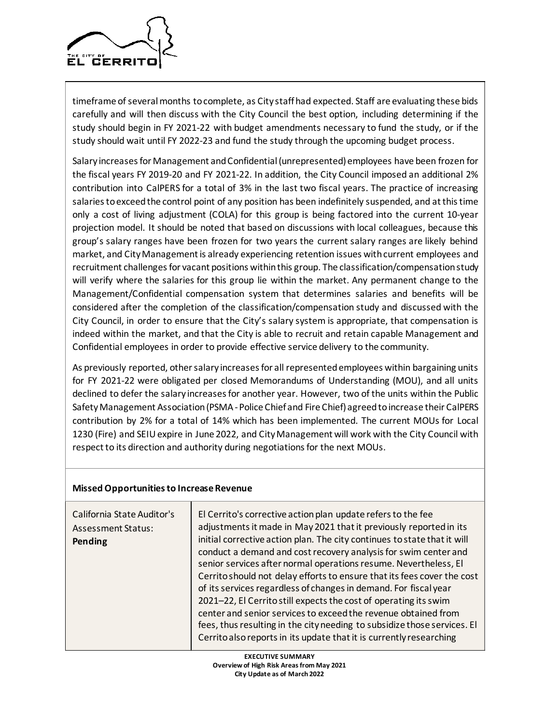

timeframe of several months to complete, as City staff had expected. Staff are evaluating these bids carefully and will then discuss with the City Council the best option, including determining if the study should begin in FY 2021-22 with budget amendments necessary to fund the study, or if the study should wait until FY 2022-23 and fund the study through the upcoming budget process.

Salary increases for Management and Confidential (unrepresented) employees have been frozen for the fiscal years FY 2019-20 and FY 2021-22. In addition, the City Council imposed an additional 2% contribution into CalPERS for a total of 3% in the last two fiscal years. The practice of increasing salaries to exceed the control point of any position has been indefinitely suspended, and at this time only a cost of living adjustment (COLA) for this group is being factored into the current 10-year projection model. It should be noted that based on discussions with local colleagues, because this group's salary ranges have been frozen for two years the current salary ranges are likely behind market, and City Management is already experiencing retention issues with current employees and recruitment challenges for vacant positions within this group. The classification/compensation study will verify where the salaries for this group lie within the market. Any permanent change to the Management/Confidential compensation system that determines salaries and benefits will be considered after the completion of the classification/compensation study and discussed with the City Council, in order to ensure that the City's salary system is appropriate, that compensation is indeed within the market, and that the City is able to recruit and retain capable Management and Confidential employees in order to provide effective service delivery to the community.

As previously reported, other salary increases for all represented employees within bargaining units for FY 2021-22 were obligated per closed Memorandums of Understanding (MOU), and all units declined to defer the salary increasesfor another year. However, two of the units within the Public Safety Management Association (PSMA-Police Chief and Fire Chief) agreed to increase their CalPERS contribution by 2% for a total of 14% which has been implemented. The current MOUs for Local 1230 (Fire) and SEIU expire in June 2022, and City Management will work with the City Council with respect to its direction and authority during negotiations for the next MOUs.

#### **Missed Opportunities to Increase Revenue**

| California State Auditor's<br><b>Assessment Status:</b><br>Pending | El Cerrito's corrective action plan update refers to the fee<br>adjustments it made in May 2021 that it previously reported in its<br>initial corrective action plan. The city continues to state that it will<br>conduct a demand and cost recovery analysis for swim center and<br>senior services after normal operations resume. Nevertheless, El<br>Cerrito should not delay efforts to ensure that its fees cover the cost<br>of its services regardless of changes in demand. For fiscal year<br>2021-22, El Cerrito still expects the cost of operating its swim<br>center and senior services to exceed the revenue obtained from |
|--------------------------------------------------------------------|--------------------------------------------------------------------------------------------------------------------------------------------------------------------------------------------------------------------------------------------------------------------------------------------------------------------------------------------------------------------------------------------------------------------------------------------------------------------------------------------------------------------------------------------------------------------------------------------------------------------------------------------|
|                                                                    | fees, thus resulting in the city needing to subsidize those services. El<br>Cerrito also reports in its update that it is currently researching                                                                                                                                                                                                                                                                                                                                                                                                                                                                                            |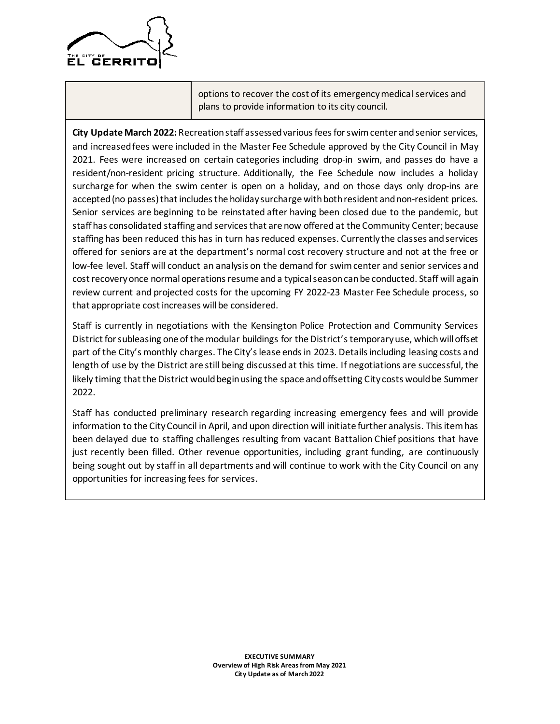

options to recover the cost of its emergency medical services and plans to provide information to its city council.

**City Update March 2022:** Recreation staff assessed various fees for swim center and senior services, and increased fees were included in the Master Fee Schedule approved by the City Council in May 2021. Fees were increased on certain categories including drop-in swim, and passes do have a resident/non-resident pricing structure. Additionally, the Fee Schedule now includes a holiday surcharge for when the swim center is open on a holiday, and on those days only drop-ins are accepted (no passes) that includes the holiday surcharge with both resident and non-resident prices. Senior services are beginning to be reinstated after having been closed due to the pandemic, but staff has consolidated staffing and services that are now offered at the Community Center; because staffing has been reduced this has in turn has reduced expenses. Currently the classes and services offered for seniors are at the department's normal cost recovery structure and not at the free or low-fee level. Staff will conduct an analysis on the demand for swim center and senior services and cost recovery once normal operations resume and a typical season can be conducted. Staff will again review current and projected costs for the upcoming FY 2022-23 Master Fee Schedule process, so that appropriate cost increases will be considered.

Staff is currently in negotiations with the Kensington Police Protection and Community Services District for subleasing one of the modular buildings for the District's temporary use, which will offset part of the City's monthly charges. The City's lease ends in 2023. Details including leasing costs and length of use by the District are still being discussed at this time. If negotiations are successful, the likely timing that the District would begin using the space and offsetting City costs would be Summer 2022.

Staff has conducted preliminary research regarding increasing emergency fees and will provide information to the City Council in April, and upon direction will initiate further analysis. This item has been delayed due to staffing challenges resulting from vacant Battalion Chief positions that have just recently been filled. Other revenue opportunities, including grant funding, are continuously being sought out by staff in all departments and will continue to work with the City Council on any opportunities for increasing fees for services.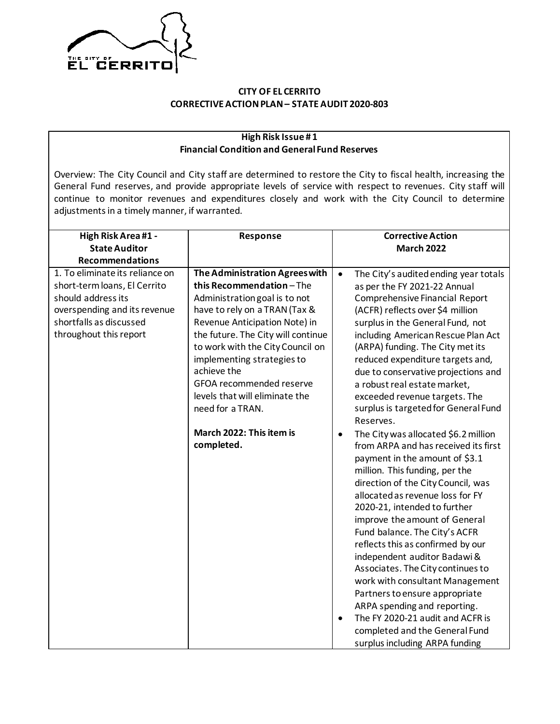

## **CITY OF EL CERRITO CORRECTIVE ACTION PLAN– STATE AUDIT 2020-803**

## **High Risk Issue # 1 Financial Condition and General Fund Reserves**

Overview: The City Council and City staff are determined to restore the City to fiscal health, increasing the General Fund reserves, and provide appropriate levels of service with respect to revenues. City staff will continue to monitor revenues and expenditures closely and work with the City Council to determine adjustments in a timely manner, if warranted.

| High Risk Area #1 -             | Response                           | <b>Corrective Action</b>                           |
|---------------------------------|------------------------------------|----------------------------------------------------|
| <b>State Auditor</b>            |                                    | <b>March 2022</b>                                  |
| <b>Recommendations</b>          |                                    |                                                    |
| 1. To eliminate its reliance on | The Administration Agrees with     | The City's audited ending year totals<br>$\bullet$ |
| short-term loans, El Cerrito    | this Recommendation-The            | as per the FY 2021-22 Annual                       |
| should address its              | Administration goal is to not      | <b>Comprehensive Financial Report</b>              |
| overspending and its revenue    | have to rely on a TRAN (Tax &      | (ACFR) reflects over \$4 million                   |
| shortfalls as discussed         | Revenue Anticipation Note) in      | surplus in the General Fund, not                   |
| throughout this report          | the future. The City will continue | including American Rescue Plan Act                 |
|                                 | to work with the City Council on   | (ARPA) funding. The City met its                   |
|                                 | implementing strategies to         | reduced expenditure targets and,                   |
|                                 | achieve the                        | due to conservative projections and                |
|                                 | GFOA recommended reserve           | a robust real estate market,                       |
|                                 | levels that will eliminate the     | exceeded revenue targets. The                      |
|                                 | need for a TRAN.                   | surplus is targeted for General Fund               |
|                                 |                                    | Reserves.                                          |
|                                 | March 2022: This item is           | The City was allocated \$6.2 million<br>$\bullet$  |
|                                 | completed.                         | from ARPA and has received its first               |
|                                 |                                    | payment in the amount of \$3.1                     |
|                                 |                                    | million. This funding, per the                     |
|                                 |                                    | direction of the City Council, was                 |
|                                 |                                    | allocated as revenue loss for FY                   |
|                                 |                                    | 2020-21, intended to further                       |
|                                 |                                    | improve the amount of General                      |
|                                 |                                    | Fund balance. The City's ACFR                      |
|                                 |                                    | reflects this as confirmed by our                  |
|                                 |                                    | independent auditor Badawi &                       |
|                                 |                                    | Associates. The City continues to                  |
|                                 |                                    | work with consultant Management                    |
|                                 |                                    | Partners to ensure appropriate                     |
|                                 |                                    | ARPA spending and reporting.                       |
|                                 |                                    | The FY 2020-21 audit and ACFR is<br>$\bullet$      |
|                                 |                                    | completed and the General Fund                     |
|                                 |                                    | surplus including ARPA funding                     |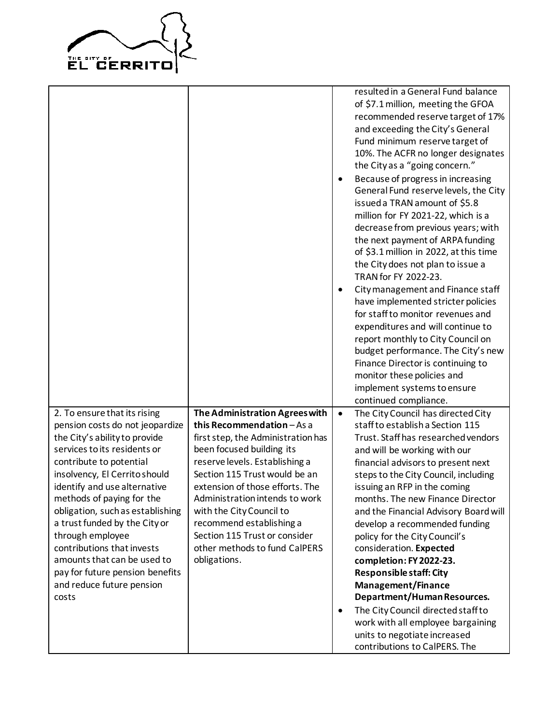

|                                                               |                                    |           | resulted in a General Fund balance     |
|---------------------------------------------------------------|------------------------------------|-----------|----------------------------------------|
|                                                               |                                    |           | of \$7.1 million, meeting the GFOA     |
|                                                               |                                    |           | recommended reserve target of 17%      |
|                                                               |                                    |           | and exceeding the City's General       |
|                                                               |                                    |           | Fund minimum reserve target of         |
|                                                               |                                    |           | 10%. The ACFR no longer designates     |
|                                                               |                                    |           | the City as a "going concern."         |
|                                                               |                                    | $\bullet$ | Because of progress in increasing      |
|                                                               |                                    |           | General Fund reserve levels, the City  |
|                                                               |                                    |           | issued a TRAN amount of \$5.8          |
|                                                               |                                    |           | million for FY 2021-22, which is a     |
|                                                               |                                    |           | decrease from previous years; with     |
|                                                               |                                    |           | the next payment of ARPA funding       |
|                                                               |                                    |           | of \$3.1 million in 2022, at this time |
|                                                               |                                    |           | the City does not plan to issue a      |
|                                                               |                                    |           | TRAN for FY 2022-23.                   |
|                                                               |                                    | $\bullet$ | City management and Finance staff      |
|                                                               |                                    |           | have implemented stricter policies     |
|                                                               |                                    |           | for staff to monitor revenues and      |
|                                                               |                                    |           | expenditures and will continue to      |
|                                                               |                                    |           |                                        |
|                                                               |                                    |           | report monthly to City Council on      |
|                                                               |                                    |           | budget performance. The City's new     |
|                                                               |                                    |           | Finance Director is continuing to      |
|                                                               |                                    |           | monitor these policies and             |
|                                                               |                                    |           | implement systems to ensure            |
|                                                               |                                    |           | continued compliance.                  |
| 2. To ensure that its rising                                  | The Administration Agrees with     | $\bullet$ | The City Council has directed City     |
| pension costs do not jeopardize                               | this Recommendation - As a         |           | staff to establish a Section 115       |
| the City's ability to provide<br>services to its residents or | first step, the Administration has |           | Trust. Staff has researched vendors    |
|                                                               | been focused building its          |           | and will be working with our           |
| contribute to potential                                       | reserve levels. Establishing a     |           | financial advisors to present next     |
| insolvency, El Cerrito should                                 | Section 115 Trust would be an      |           | steps to the City Council, including   |
| identify and use alternative                                  | extension of those efforts. The    |           | issuing an RFP in the coming           |
| methods of paying for the                                     | Administration intends to work     |           | months. The new Finance Director       |
| obligation, such as establishing                              | with the City Council to           |           | and the Financial Advisory Board will  |
| a trust funded by the City or                                 | recommend establishing a           |           | develop a recommended funding          |
| through employee                                              | Section 115 Trust or consider      |           | policy for the City Council's          |
| contributions that invests                                    | other methods to fund CalPERS      |           | consideration. Expected                |
| amounts that can be used to                                   | obligations.                       |           | completion: FY 2022-23.                |
| pay for future pension benefits                               |                                    |           | <b>Responsible staff: City</b>         |
| and reduce future pension                                     |                                    |           | <b>Management/Finance</b>              |
| costs                                                         |                                    |           | Department/Human Resources.            |
|                                                               |                                    | ٠         | The City Council directed staff to     |
|                                                               |                                    |           | work with all employee bargaining      |
|                                                               |                                    |           | units to negotiate increased           |
|                                                               |                                    |           | contributions to CalPERS. The          |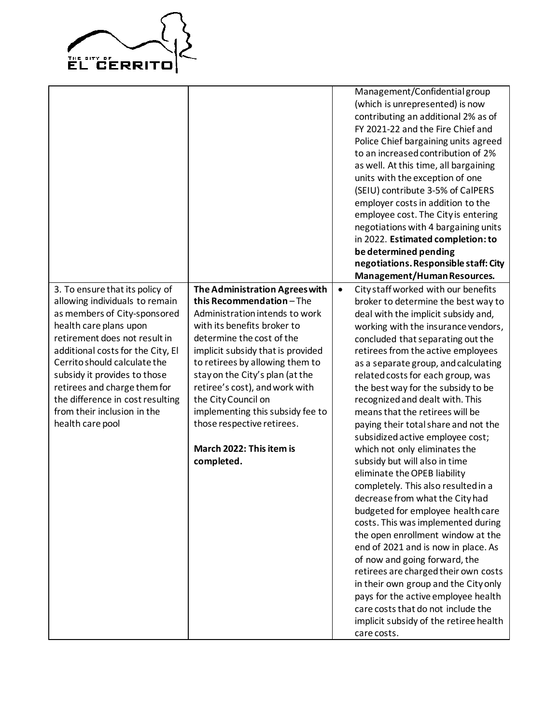

|                                   |                                   |           | Management/Confidential group          |
|-----------------------------------|-----------------------------------|-----------|----------------------------------------|
|                                   |                                   |           | (which is unrepresented) is now        |
|                                   |                                   |           | contributing an additional 2% as of    |
|                                   |                                   |           | FY 2021-22 and the Fire Chief and      |
|                                   |                                   |           | Police Chief bargaining units agreed   |
|                                   |                                   |           | to an increased contribution of 2%     |
|                                   |                                   |           | as well. At this time, all bargaining  |
|                                   |                                   |           | units with the exception of one        |
|                                   |                                   |           | (SEIU) contribute 3-5% of CalPERS      |
|                                   |                                   |           | employer costs in addition to the      |
|                                   |                                   |           | employee cost. The City is entering    |
|                                   |                                   |           | negotiations with 4 bargaining units   |
|                                   |                                   |           | in 2022. Estimated completion: to      |
|                                   |                                   |           | be determined pending                  |
|                                   |                                   |           | negotiations. Responsible staff: City  |
|                                   |                                   |           | Management/Human Resources.            |
| 3. To ensure that its policy of   | The Administration Agrees with    | $\bullet$ | City staff worked with our benefits    |
| allowing individuals to remain    | this Recommendation-The           |           | broker to determine the best way to    |
| as members of City-sponsored      | Administration intends to work    |           | deal with the implicit subsidy and,    |
| health care plans upon            | with its benefits broker to       |           | working with the insurance vendors,    |
| retirement does not result in     | determine the cost of the         |           | concluded that separating out the      |
| additional costs for the City, El | implicit subsidy that is provided |           | retirees from the active employees     |
| Cerrito should calculate the      | to retirees by allowing them to   |           | as a separate group, and calculating   |
| subsidy it provides to those      | stay on the City's plan (at the   |           | related costs for each group, was      |
| retirees and charge them for      | retiree's cost), and work with    |           | the best way for the subsidy to be     |
| the difference in cost resulting  | the City Council on               |           | recognized and dealt with. This        |
| from their inclusion in the       | implementing this subsidy fee to  |           | means that the retirees will be        |
| health care pool                  | those respective retirees.        |           | paying their total share and not the   |
|                                   |                                   |           | subsidized active employee cost;       |
|                                   | March 2022: This item is          |           | which not only eliminates the          |
|                                   | completed.                        |           | subsidy but will also in time          |
|                                   |                                   |           | eliminate the OPEB liability           |
|                                   |                                   |           | completely. This also resulted in a    |
|                                   |                                   |           | decrease from what the City had        |
|                                   |                                   |           | budgeted for employee health care      |
|                                   |                                   |           | costs. This was implemented during     |
|                                   |                                   |           | the open enrollment window at the      |
|                                   |                                   |           | end of 2021 and is now in place. As    |
|                                   |                                   |           | of now and going forward, the          |
|                                   |                                   |           | retirees are charged their own costs   |
|                                   |                                   |           | in their own group and the City only   |
|                                   |                                   |           | pays for the active employee health    |
|                                   |                                   |           | care costs that do not include the     |
|                                   |                                   |           | implicit subsidy of the retiree health |
|                                   |                                   |           | care costs.                            |
|                                   |                                   |           |                                        |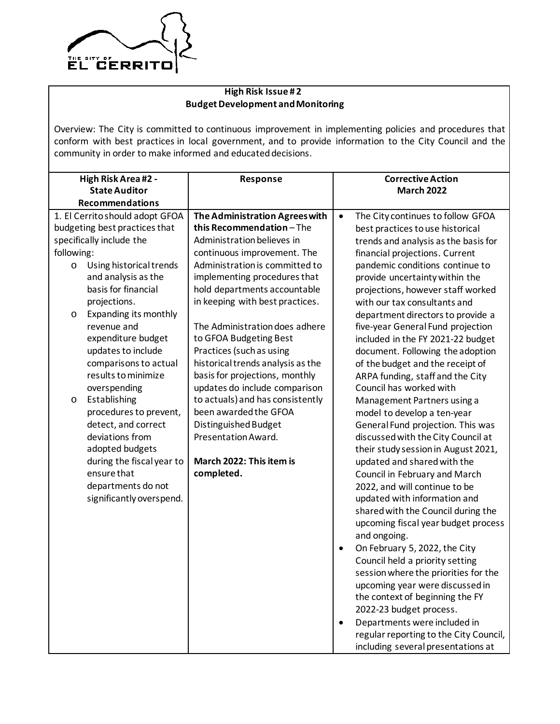

## **High Risk Issue # 2 Budget Development and Monitoring**

Overview: The City is committed to continuous improvement in implementing policies and procedures that conform with best practices in local government, and to provide information to the City Council and the community in order to make informed and educated decisions.

|            | High Risk Area #2 -             | Response                          |           | <b>Corrective Action</b>               |
|------------|---------------------------------|-----------------------------------|-----------|----------------------------------------|
|            | <b>State Auditor</b>            |                                   |           | <b>March 2022</b>                      |
|            | <b>Recommendations</b>          |                                   |           |                                        |
|            | 1. El Cerrito should adopt GFOA | The Administration Agrees with    | $\bullet$ | The City continues to follow GFOA      |
|            | budgeting best practices that   | this Recommendation-The           |           | best practices to use historical       |
|            | specifically include the        | Administration believes in        |           | trends and analysis as the basis for   |
| following: |                                 | continuous improvement. The       |           | financial projections. Current         |
| $\circ$    | Using historical trends         | Administration is committed to    |           | pandemic conditions continue to        |
|            | and analysis as the             | implementing procedures that      |           | provide uncertainty within the         |
|            | basis for financial             | hold departments accountable      |           | projections, however staff worked      |
|            | projections.                    | in keeping with best practices.   |           | with our tax consultants and           |
| $\circ$    | Expanding its monthly           |                                   |           | department directors to provide a      |
|            | revenue and                     | The Administration does adhere    |           | five-year General Fund projection      |
|            | expenditure budget              | to GFOA Budgeting Best            |           | included in the FY 2021-22 budget      |
|            | updates to include              | Practices (such as using          |           | document. Following the adoption       |
|            | comparisons to actual           | historical trends analysis as the |           | of the budget and the receipt of       |
|            | results to minimize             | basis for projections, monthly    |           | ARPA funding, staff and the City       |
|            | overspending                    | updates do include comparison     |           | Council has worked with                |
| $\circ$    | Establishing                    | to actuals) and has consistently  |           | Management Partners using a            |
|            | procedures to prevent,          | been awarded the GFOA             |           | model to develop a ten-year            |
|            | detect, and correct             | Distinguished Budget              |           | General Fund projection. This was      |
|            | deviations from                 | Presentation Award.               |           | discussed with the City Council at     |
|            | adopted budgets                 |                                   |           | their study session in August 2021,    |
|            | during the fiscal year to       | March 2022: This item is          |           | updated and shared with the            |
|            | ensure that                     | completed.                        |           | Council in February and March          |
|            | departments do not              |                                   |           | 2022, and will continue to be          |
|            | significantly overspend.        |                                   |           | updated with information and           |
|            |                                 |                                   |           | shared with the Council during the     |
|            |                                 |                                   |           | upcoming fiscal year budget process    |
|            |                                 |                                   |           | and ongoing.                           |
|            |                                 |                                   | $\bullet$ | On February 5, 2022, the City          |
|            |                                 |                                   |           | Council held a priority setting        |
|            |                                 |                                   |           | session where the priorities for the   |
|            |                                 |                                   |           | upcoming year were discussed in        |
|            |                                 |                                   |           | the context of beginning the FY        |
|            |                                 |                                   |           | 2022-23 budget process.                |
|            |                                 |                                   | $\bullet$ | Departments were included in           |
|            |                                 |                                   |           | regular reporting to the City Council, |
|            |                                 |                                   |           | including several presentations at     |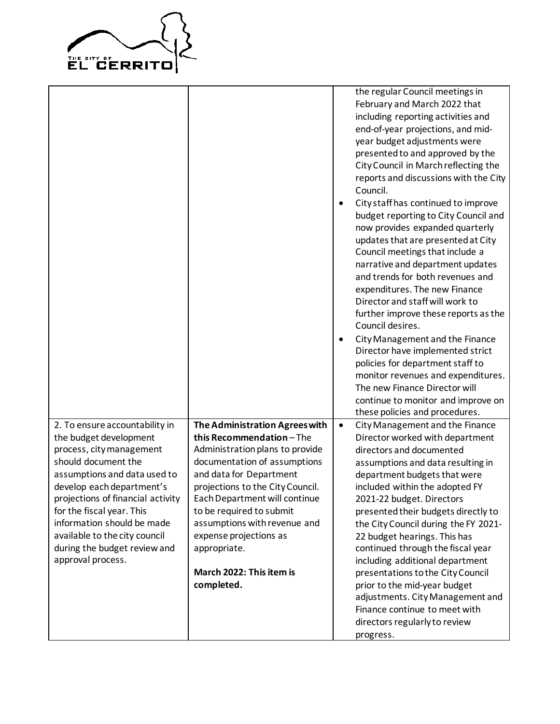

|                                                                                                                                                                                                                                                                                                                                                                |                                                                                                                                                                                                                                                                                                                                                                              | $\bullet$<br>$\bullet$ | the regular Council meetings in<br>February and March 2022 that<br>including reporting activities and<br>end-of-year projections, and mid-<br>year budget adjustments were<br>presented to and approved by the<br>City Council in March reflecting the<br>reports and discussions with the City<br>Council.<br>City staff has continued to improve<br>budget reporting to City Council and<br>now provides expanded quarterly<br>updates that are presented at City<br>Council meetings that include a<br>narrative and department updates<br>and trends for both revenues and<br>expenditures. The new Finance<br>Director and staff will work to<br>further improve these reports as the<br>Council desires.<br>City Management and the Finance<br>Director have implemented strict<br>policies for department staff to<br>monitor revenues and expenditures.<br>The new Finance Director will<br>continue to monitor and improve on<br>these policies and procedures. |
|----------------------------------------------------------------------------------------------------------------------------------------------------------------------------------------------------------------------------------------------------------------------------------------------------------------------------------------------------------------|------------------------------------------------------------------------------------------------------------------------------------------------------------------------------------------------------------------------------------------------------------------------------------------------------------------------------------------------------------------------------|------------------------|--------------------------------------------------------------------------------------------------------------------------------------------------------------------------------------------------------------------------------------------------------------------------------------------------------------------------------------------------------------------------------------------------------------------------------------------------------------------------------------------------------------------------------------------------------------------------------------------------------------------------------------------------------------------------------------------------------------------------------------------------------------------------------------------------------------------------------------------------------------------------------------------------------------------------------------------------------------------------|
| 2. To ensure accountability in<br>the budget development<br>process, city management<br>should document the<br>assumptions and data used to<br>develop each department's<br>projections of financial activity<br>for the fiscal year. This<br>information should be made<br>available to the city council<br>during the budget review and<br>approval process. | The Administration Agrees with<br>this Recommendation-The<br>Administration plans to provide<br>documentation of assumptions<br>and data for Department<br>projections to the City Council.<br>Each Department will continue<br>to be required to submit<br>assumptions with revenue and<br>expense projections as<br>appropriate.<br>March 2022: This item is<br>completed. | $\bullet$              | City Management and the Finance<br>Director worked with department<br>directors and documented<br>assumptions and data resulting in<br>department budgets that were<br>included within the adopted FY<br>2021-22 budget. Directors<br>presented their budgets directly to<br>the City Council during the FY 2021-<br>22 budget hearings. This has<br>continued through the fiscal year<br>including additional department<br>presentations to the City Council<br>prior to the mid-year budget<br>adjustments. City Management and<br>Finance continue to meet with<br>directors regularly to review<br>progress.                                                                                                                                                                                                                                                                                                                                                        |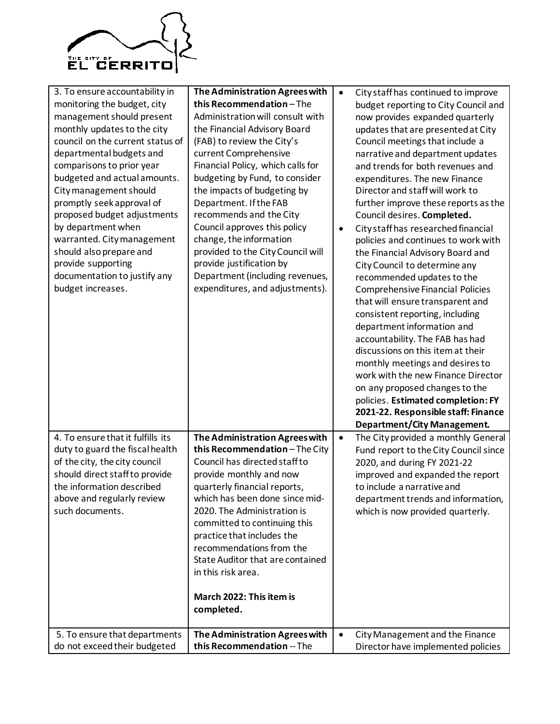

| 3. To ensure accountability in<br>monitoring the budget, city<br>management should present<br>monthly updates to the city<br>council on the current status of<br>departmental budgets and<br>comparisons to prior year<br>budgeted and actual amounts.<br>City management should<br>promptly seek approval of<br>proposed budget adjustments<br>by department when<br>warranted. City management<br>should also prepare and<br>provide supporting<br>documentation to justify any<br>budget increases. | The Administration Agrees with<br>this Recommendation-The<br>Administration will consult with<br>the Financial Advisory Board<br>(FAB) to review the City's<br>current Comprehensive<br>Financial Policy, which calls for<br>budgeting by Fund, to consider<br>the impacts of budgeting by<br>Department. If the FAB<br>recommends and the City<br>Council approves this policy<br>change, the information<br>provided to the City Council will<br>provide justification by<br>Department (including revenues,<br>expenditures, and adjustments). | $\bullet$<br>$\bullet$ | City staff has continued to improve<br>budget reporting to City Council and<br>now provides expanded quarterly<br>updates that are presented at City<br>Council meetings that include a<br>narrative and department updates<br>and trends for both revenues and<br>expenditures. The new Finance<br>Director and staff will work to<br>further improve these reports as the<br>Council desires. Completed.<br>City staff has researched financial<br>policies and continues to work with<br>the Financial Advisory Board and<br>City Council to determine any<br>recommended updates to the<br><b>Comprehensive Financial Policies</b><br>that will ensure transparent and<br>consistent reporting, including<br>department information and<br>accountability. The FAB has had<br>discussions on this item at their<br>monthly meetings and desires to<br>work with the new Finance Director<br>on any proposed changes to the<br>policies. Estimated completion: FY<br>2021-22. Responsible staff: Finance<br>Department/City Management. |
|--------------------------------------------------------------------------------------------------------------------------------------------------------------------------------------------------------------------------------------------------------------------------------------------------------------------------------------------------------------------------------------------------------------------------------------------------------------------------------------------------------|---------------------------------------------------------------------------------------------------------------------------------------------------------------------------------------------------------------------------------------------------------------------------------------------------------------------------------------------------------------------------------------------------------------------------------------------------------------------------------------------------------------------------------------------------|------------------------|--------------------------------------------------------------------------------------------------------------------------------------------------------------------------------------------------------------------------------------------------------------------------------------------------------------------------------------------------------------------------------------------------------------------------------------------------------------------------------------------------------------------------------------------------------------------------------------------------------------------------------------------------------------------------------------------------------------------------------------------------------------------------------------------------------------------------------------------------------------------------------------------------------------------------------------------------------------------------------------------------------------------------------------------|
| 4. To ensure that it fulfills its                                                                                                                                                                                                                                                                                                                                                                                                                                                                      | The Administration Agrees with                                                                                                                                                                                                                                                                                                                                                                                                                                                                                                                    | $\bullet$              | The City provided a monthly General                                                                                                                                                                                                                                                                                                                                                                                                                                                                                                                                                                                                                                                                                                                                                                                                                                                                                                                                                                                                        |
| duty to guard the fiscal health<br>of the city, the city council<br>should direct staff to provide<br>the information described<br>above and regularly review<br>such documents.<br>5. To ensure that departments                                                                                                                                                                                                                                                                                      | this Recommendation-The City<br>Council has directed staff to<br>provide monthly and now<br>quarterly financial reports,<br>which has been done since mid-<br>2020. The Administration is<br>committed to continuing this<br>practice that includes the<br>recommendations from the<br>State Auditor that are contained<br>in this risk area.<br>March 2022: This item is<br>completed.<br>The Administration Agrees with                                                                                                                         | $\bullet$              | Fund report to the City Council since<br>2020, and during FY 2021-22<br>improved and expanded the report<br>to include a narrative and<br>department trends and information,<br>which is now provided quarterly.<br>City Management and the Finance                                                                                                                                                                                                                                                                                                                                                                                                                                                                                                                                                                                                                                                                                                                                                                                        |
| do not exceed their budgeted                                                                                                                                                                                                                                                                                                                                                                                                                                                                           | this Recommendation -- The                                                                                                                                                                                                                                                                                                                                                                                                                                                                                                                        |                        | Director have implemented policies                                                                                                                                                                                                                                                                                                                                                                                                                                                                                                                                                                                                                                                                                                                                                                                                                                                                                                                                                                                                         |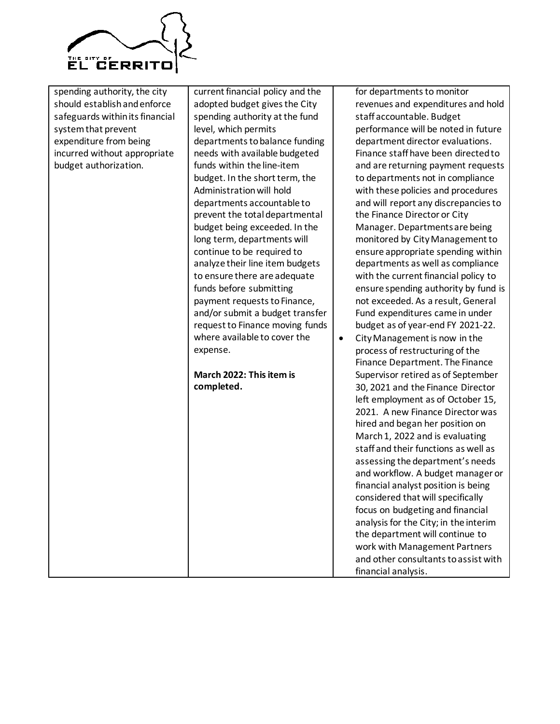

| spending authority, the city<br>should establish and enforce<br>safeguards within its financial<br>system that prevent<br>expenditure from being<br>incurred without appropriate<br>budget authorization. | current financial policy and the<br>adopted budget gives the City<br>spending authority at the fund<br>level, which permits<br>departments to balance funding<br>needs with available budgeted<br>funds within the line-item<br>budget. In the short term, the<br>Administration will hold<br>departments accountable to<br>prevent the total departmental<br>budget being exceeded. In the<br>long term, departments will<br>continue to be required to<br>analyze their line item budgets<br>to ensure there are adequate<br>funds before submitting<br>payment requests to Finance,<br>and/or submit a budget transfer<br>request to Finance moving funds<br>where available to cover the<br>expense.<br>March 2022: This item is<br>completed. | $\bullet$ | for departments to monitor<br>revenues and expenditures and hold<br>staff accountable. Budget<br>performance will be noted in future<br>department director evaluations.<br>Finance staff have been directed to<br>and are returning payment requests<br>to departments not in compliance<br>with these policies and procedures<br>and will report any discrepancies to<br>the Finance Director or City<br>Manager. Departments are being<br>monitored by City Management to<br>ensure appropriate spending within<br>departments as well as compliance<br>with the current financial policy to<br>ensure spending authority by fund is<br>not exceeded. As a result, General<br>Fund expenditures came in under<br>budget as of year-end FY 2021-22.<br>City Management is now in the<br>process of restructuring of the<br>Finance Department. The Finance<br>Supervisor retired as of September<br>30, 2021 and the Finance Director<br>left employment as of October 15,<br>2021. A new Finance Director was<br>hired and began her position on<br>March 1, 2022 and is evaluating<br>staff and their functions as well as<br>assessing the department's needs<br>and workflow. A budget manager or<br>financial analyst position is being<br>considered that will specifically<br>focus on budgeting and financial<br>analysis for the City; in the interim |
|-----------------------------------------------------------------------------------------------------------------------------------------------------------------------------------------------------------|----------------------------------------------------------------------------------------------------------------------------------------------------------------------------------------------------------------------------------------------------------------------------------------------------------------------------------------------------------------------------------------------------------------------------------------------------------------------------------------------------------------------------------------------------------------------------------------------------------------------------------------------------------------------------------------------------------------------------------------------------|-----------|------------------------------------------------------------------------------------------------------------------------------------------------------------------------------------------------------------------------------------------------------------------------------------------------------------------------------------------------------------------------------------------------------------------------------------------------------------------------------------------------------------------------------------------------------------------------------------------------------------------------------------------------------------------------------------------------------------------------------------------------------------------------------------------------------------------------------------------------------------------------------------------------------------------------------------------------------------------------------------------------------------------------------------------------------------------------------------------------------------------------------------------------------------------------------------------------------------------------------------------------------------------------------------------------------------------------------------------------------------------|
|                                                                                                                                                                                                           |                                                                                                                                                                                                                                                                                                                                                                                                                                                                                                                                                                                                                                                                                                                                                    |           | the department will continue to<br>work with Management Partners<br>and other consultants to assist with<br>financial analysis.                                                                                                                                                                                                                                                                                                                                                                                                                                                                                                                                                                                                                                                                                                                                                                                                                                                                                                                                                                                                                                                                                                                                                                                                                                  |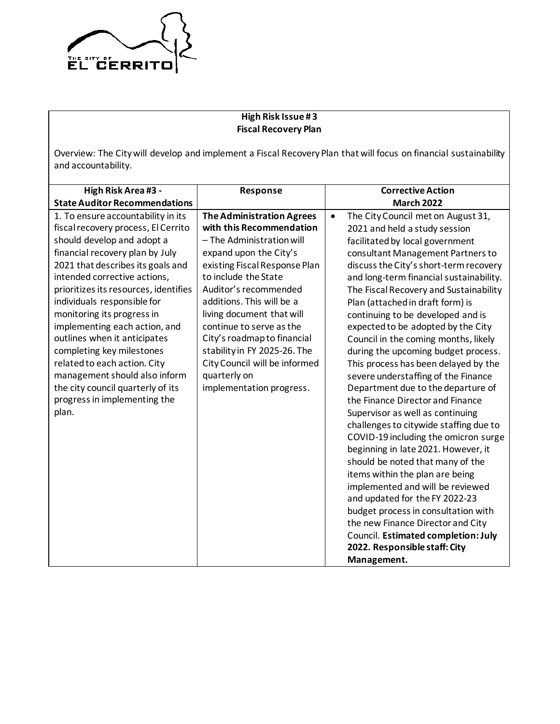

# **High Risk Issue # 3 Fiscal Recovery Plan**

Overview: The City will develop and implement a Fiscal Recovery Plan that will focus on financial sustainability and accountability.

| High Risk Area #3 -                                                                                                                                                                                                                                                                                                                                                                                                                                                                                                                                                | Response                                                                                                                                                                                                                                                                                                                                                                                                                                | <b>Corrective Action</b>                                                                                                                                                                                                                                                                                                                                                                                                                                                                                                                                                                                                                                                                                                                                                                                                                                                                                                                                                                                                                                                                                                    |
|--------------------------------------------------------------------------------------------------------------------------------------------------------------------------------------------------------------------------------------------------------------------------------------------------------------------------------------------------------------------------------------------------------------------------------------------------------------------------------------------------------------------------------------------------------------------|-----------------------------------------------------------------------------------------------------------------------------------------------------------------------------------------------------------------------------------------------------------------------------------------------------------------------------------------------------------------------------------------------------------------------------------------|-----------------------------------------------------------------------------------------------------------------------------------------------------------------------------------------------------------------------------------------------------------------------------------------------------------------------------------------------------------------------------------------------------------------------------------------------------------------------------------------------------------------------------------------------------------------------------------------------------------------------------------------------------------------------------------------------------------------------------------------------------------------------------------------------------------------------------------------------------------------------------------------------------------------------------------------------------------------------------------------------------------------------------------------------------------------------------------------------------------------------------|
| <b>State Auditor Recommendations</b>                                                                                                                                                                                                                                                                                                                                                                                                                                                                                                                               |                                                                                                                                                                                                                                                                                                                                                                                                                                         | <b>March 2022</b>                                                                                                                                                                                                                                                                                                                                                                                                                                                                                                                                                                                                                                                                                                                                                                                                                                                                                                                                                                                                                                                                                                           |
| 1. To ensure accountability in its<br>fiscal recovery process, El Cerrito<br>should develop and adopt a<br>financial recovery plan by July<br>2021 that describes its goals and<br>intended corrective actions,<br>prioritizes its resources, identifies<br>individuals responsible for<br>monitoring its progress in<br>implementing each action, and<br>outlines when it anticipates<br>completing key milestones<br>related to each action. City<br>management should also inform<br>the city council quarterly of its<br>progress in implementing the<br>plan. | <b>The Administration Agrees</b><br>with this Recommendation<br>- The Administration will<br>expand upon the City's<br>existing Fiscal Response Plan<br>to include the State<br>Auditor's recommended<br>additions. This will be a<br>living document that will<br>continue to serve as the<br>City's roadmap to financial<br>stability in FY 2025-26. The<br>City Council will be informed<br>quarterly on<br>implementation progress. | The City Council met on August 31,<br>$\bullet$<br>2021 and held a study session<br>facilitated by local government<br>consultant Management Partners to<br>discuss the City's short-term recovery<br>and long-term financial sustainability.<br>The Fiscal Recovery and Sustainability<br>Plan (attached in draft form) is<br>continuing to be developed and is<br>expected to be adopted by the City<br>Council in the coming months, likely<br>during the upcoming budget process.<br>This process has been delayed by the<br>severe understaffing of the Finance<br>Department due to the departure of<br>the Finance Director and Finance<br>Supervisor as well as continuing<br>challenges to citywide staffing due to<br>COVID-19 including the omicron surge<br>beginning in late 2021. However, it<br>should be noted that many of the<br>items within the plan are being<br>implemented and will be reviewed<br>and updated for the FY 2022-23<br>budget process in consultation with<br>the new Finance Director and City<br>Council. Estimated completion: July<br>2022. Responsible staff: City<br>Management. |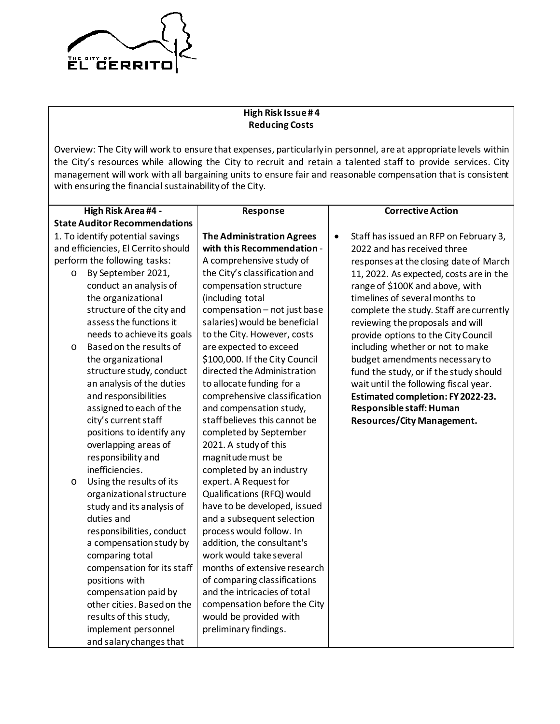

## **High Risk Issue # 4 Reducing Costs**

Overview: The City will work to ensure that expenses, particularly in personnel, are at appropriate levels within the City's resources while allowing the City to recruit and retain a talented staff to provide services. City management will work with all bargaining units to ensure fair and reasonable compensation that is consistent with ensuring the financial sustainability of the City.

| High Risk Area #4 -                  |                              | Response                         | <b>Corrective Action</b>                            |
|--------------------------------------|------------------------------|----------------------------------|-----------------------------------------------------|
| <b>State Auditor Recommendations</b> |                              |                                  |                                                     |
| 1. To identify potential savings     |                              | <b>The Administration Agrees</b> | Staff has issued an RFP on February 3,<br>$\bullet$ |
| and efficiencies, El Cerrito should  |                              | with this Recommendation -       | 2022 and has received three                         |
|                                      | perform the following tasks: | A comprehensive study of         | responses at the closing date of March              |
| $\circ$                              | By September 2021,           | the City's classification and    | 11, 2022. As expected, costs are in the             |
|                                      | conduct an analysis of       | compensation structure           | range of \$100K and above, with                     |
|                                      | the organizational           | (including total                 | timelines of several months to                      |
|                                      | structure of the city and    | compensation - not just base     | complete the study. Staff are currently             |
|                                      | assess the functions it      | salaries) would be beneficial    | reviewing the proposals and will                    |
|                                      | needs to achieve its goals   | to the City. However, costs      | provide options to the City Council                 |
| $\circ$                              | Based on the results of      | are expected to exceed           | including whether or not to make                    |
|                                      | the organizational           | \$100,000. If the City Council   | budget amendments necessary to                      |
|                                      | structure study, conduct     | directed the Administration      | fund the study, or if the study should              |
|                                      | an analysis of the duties    | to allocate funding for a        | wait until the following fiscal year.               |
|                                      | and responsibilities         | comprehensive classification     | Estimated completion: FY 2022-23.                   |
|                                      | assigned to each of the      | and compensation study,          | Responsible staff: Human                            |
|                                      | city's current staff         | staff believes this cannot be    | <b>Resources/City Management.</b>                   |
|                                      | positions to identify any    | completed by September           |                                                     |
|                                      | overlapping areas of         | 2021. A study of this            |                                                     |
|                                      | responsibility and           | magnitude must be                |                                                     |
|                                      | inefficiencies.              | completed by an industry         |                                                     |
| $\circ$                              | Using the results of its     | expert. A Request for            |                                                     |
|                                      | organizational structure     | Qualifications (RFQ) would       |                                                     |
|                                      | study and its analysis of    | have to be developed, issued     |                                                     |
|                                      | duties and                   | and a subsequent selection       |                                                     |
|                                      | responsibilities, conduct    | process would follow. In         |                                                     |
|                                      | a compensation study by      | addition, the consultant's       |                                                     |
|                                      | comparing total              | work would take several          |                                                     |
|                                      | compensation for its staff   | months of extensive research     |                                                     |
|                                      | positions with               | of comparing classifications     |                                                     |
|                                      | compensation paid by         | and the intricacies of total     |                                                     |
|                                      | other cities. Based on the   | compensation before the City     |                                                     |
|                                      | results of this study,       | would be provided with           |                                                     |
|                                      | implement personnel          | preliminary findings.            |                                                     |
|                                      | and salary changes that      |                                  |                                                     |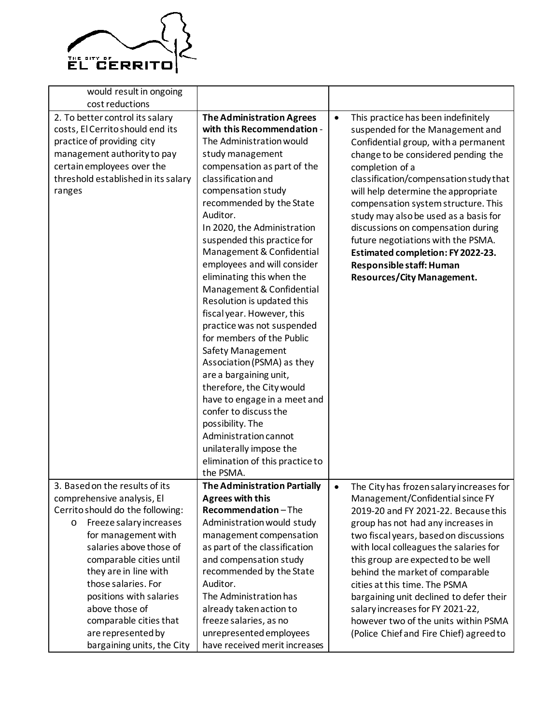

| would result in ongoing<br>cost reductions                                                                                                                                                                      |                                                                                                                                                                                                                                                                                                                                                                                                                                                                                                                                                                                                                                                                                                                                                                                                                                         |           |                                                                                                                                                                                                                                                                                                                                                                                                                                                                                                                              |
|-----------------------------------------------------------------------------------------------------------------------------------------------------------------------------------------------------------------|-----------------------------------------------------------------------------------------------------------------------------------------------------------------------------------------------------------------------------------------------------------------------------------------------------------------------------------------------------------------------------------------------------------------------------------------------------------------------------------------------------------------------------------------------------------------------------------------------------------------------------------------------------------------------------------------------------------------------------------------------------------------------------------------------------------------------------------------|-----------|------------------------------------------------------------------------------------------------------------------------------------------------------------------------------------------------------------------------------------------------------------------------------------------------------------------------------------------------------------------------------------------------------------------------------------------------------------------------------------------------------------------------------|
| 2. To better control its salary<br>costs, El Cerrito should end its<br>practice of providing city<br>management authority to pay<br>certain employees over the<br>threshold established in its salary<br>ranges | <b>The Administration Agrees</b><br>with this Recommendation -<br>The Administration would<br>study management<br>compensation as part of the<br>classification and<br>compensation study<br>recommended by the State<br>Auditor.<br>In 2020, the Administration<br>suspended this practice for<br>Management & Confidential<br>employees and will consider<br>eliminating this when the<br>Management & Confidential<br>Resolution is updated this<br>fiscal year. However, this<br>practice was not suspended<br>for members of the Public<br>Safety Management<br>Association (PSMA) as they<br>are a bargaining unit,<br>therefore, the City would<br>have to engage in a meet and<br>confer to discuss the<br>possibility. The<br>Administration cannot<br>unilaterally impose the<br>elimination of this practice to<br>the PSMA. | $\bullet$ | This practice has been indefinitely<br>suspended for the Management and<br>Confidential group, with a permanent<br>change to be considered pending the<br>completion of a<br>classification/compensation study that<br>will help determine the appropriate<br>compensation system structure. This<br>study may also be used as a basis for<br>discussions on compensation during<br>future negotiations with the PSMA.<br>Estimated completion: FY 2022-23.<br>Responsible staff: Human<br><b>Resources/City Management.</b> |
| 3. Based on the results of its<br>comprehensive analysis, El<br>Cerrito should do the following:<br>Freeze salary increases<br>$\circ$                                                                          | <b>The Administration Partially</b><br><b>Agrees with this</b><br>Recommendation-The<br>Administration would study                                                                                                                                                                                                                                                                                                                                                                                                                                                                                                                                                                                                                                                                                                                      | ٠         | The City has frozen salary increases for<br>Management/Confidential since FY<br>2019-20 and FY 2021-22. Because this<br>group has not had any increases in                                                                                                                                                                                                                                                                                                                                                                   |
| for management with<br>salaries above those of<br>comparable cities until<br>they are in line with<br>those salaries. For<br>positions with salaries                                                            | management compensation<br>as part of the classification<br>and compensation study<br>recommended by the State<br>Auditor.<br>The Administration has                                                                                                                                                                                                                                                                                                                                                                                                                                                                                                                                                                                                                                                                                    |           | two fiscal years, based on discussions<br>with local colleagues the salaries for<br>this group are expected to be well<br>behind the market of comparable<br>cities at this time. The PSMA                                                                                                                                                                                                                                                                                                                                   |
| above those of<br>comparable cities that<br>are represented by<br>bargaining units, the City                                                                                                                    | already taken action to<br>freeze salaries, as no<br>unrepresented employees<br>have received merit increases                                                                                                                                                                                                                                                                                                                                                                                                                                                                                                                                                                                                                                                                                                                           |           | bargaining unit declined to defer their<br>salary increases for FY 2021-22,<br>however two of the units within PSMA<br>(Police Chief and Fire Chief) agreed to                                                                                                                                                                                                                                                                                                                                                               |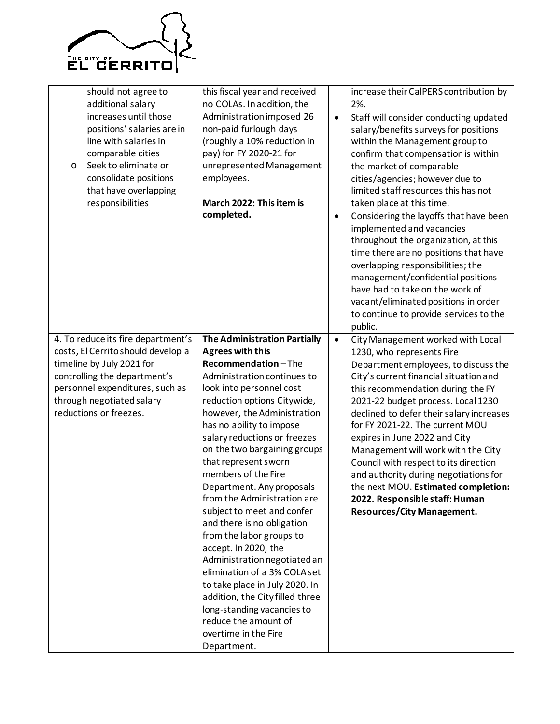

| should not agree to<br>additional salary<br>increases until those<br>positions' salaries are in<br>line with salaries in<br>comparable cities<br>Seek to eliminate or<br>$\circ$<br>consolidate positions<br>that have overlapping<br>responsibilities | this fiscal year and received<br>no COLAs. In addition, the<br>Administration imposed 26<br>non-paid furlough days<br>(roughly a 10% reduction in<br>pay) for FY 2020-21 for<br>unrepresented Management<br>employees.<br>March 2022: This item is<br>completed.                                                                                                                                                                                                                                                                                                                                                                                                                                                                                        | $\bullet$<br>٠ | increase their CalPERS contribution by<br>2%.<br>Staff will consider conducting updated<br>salary/benefits surveys for positions<br>within the Management group to<br>confirm that compensation is within<br>the market of comparable<br>cities/agencies; however due to<br>limited staff resources this has not<br>taken place at this time.<br>Considering the layoffs that have been<br>implemented and vacancies<br>throughout the organization, at this<br>time there are no positions that have<br>overlapping responsibilities; the<br>management/confidential positions<br>have had to take on the work of<br>vacant/eliminated positions in order<br>to continue to provide services to the<br>public. |
|--------------------------------------------------------------------------------------------------------------------------------------------------------------------------------------------------------------------------------------------------------|---------------------------------------------------------------------------------------------------------------------------------------------------------------------------------------------------------------------------------------------------------------------------------------------------------------------------------------------------------------------------------------------------------------------------------------------------------------------------------------------------------------------------------------------------------------------------------------------------------------------------------------------------------------------------------------------------------------------------------------------------------|----------------|-----------------------------------------------------------------------------------------------------------------------------------------------------------------------------------------------------------------------------------------------------------------------------------------------------------------------------------------------------------------------------------------------------------------------------------------------------------------------------------------------------------------------------------------------------------------------------------------------------------------------------------------------------------------------------------------------------------------|
| 4. To reduce its fire department's<br>costs, El Cerrito should develop a<br>timeline by July 2021 for<br>controlling the department's<br>personnel expenditures, such as<br>through negotiated salary<br>reductions or freezes.                        | <b>The Administration Partially</b><br><b>Agrees with this</b><br>Recommendation-The<br>Administration continues to<br>look into personnel cost<br>reduction options Citywide,<br>however, the Administration<br>has no ability to impose<br>salary reductions or freezes<br>on the two bargaining groups<br>that represent sworn<br>members of the Fire<br>Department. Any proposals<br>from the Administration are<br>subject to meet and confer<br>and there is no obligation<br>from the labor groups to<br>accept. In 2020, the<br>Administration negotiated an<br>elimination of a 3% COLA set<br>to take place in July 2020. In<br>addition, the City filled three<br>long-standing vacancies to<br>reduce the amount of<br>overtime in the Fire | $\bullet$      | City Management worked with Local<br>1230, who represents Fire<br>Department employees, to discuss the<br>City's current financial situation and<br>this recommendation during the FY<br>2021-22 budget process. Local 1230<br>declined to defer their salary increases<br>for FY 2021-22. The current MOU<br>expires in June 2022 and City<br>Management will work with the City<br>Council with respect to its direction<br>and authority during negotiations for<br>the next MOU. Estimated completion:<br>2022. Responsible staff: Human<br><b>Resources/City Management.</b>                                                                                                                               |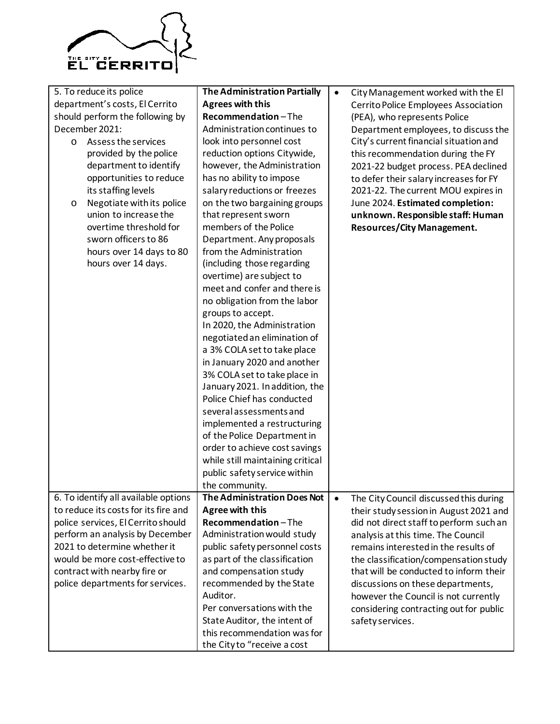

| 5. To reduce its police              | <b>The Administration Partially</b> | $\bullet$ | City Management worked with the El      |
|--------------------------------------|-------------------------------------|-----------|-----------------------------------------|
| department's costs, El Cerrito       | <b>Agrees with this</b>             |           | Cerrito Police Employees Association    |
| should perform the following by      | Recommendation-The                  |           | (PEA), who represents Police            |
| December 2021:                       | Administration continues to         |           | Department employees, to discuss the    |
| Assess the services<br>$\circ$       | look into personnel cost            |           | City's current financial situation and  |
| provided by the police               | reduction options Citywide,         |           | this recommendation during the FY       |
| department to identify               | however, the Administration         |           |                                         |
|                                      |                                     |           | 2021-22 budget process. PEA declined    |
| opportunities to reduce              | has no ability to impose            |           | to defer their salary increases for FY  |
| its staffing levels                  | salary reductions or freezes        |           | 2021-22. The current MOU expires in     |
| Negotiate with its police<br>O       | on the two bargaining groups        |           | June 2024. Estimated completion:        |
| union to increase the                | that represent sworn                |           | unknown. Responsible staff: Human       |
| overtime threshold for               | members of the Police               |           | <b>Resources/City Management.</b>       |
| sworn officers to 86                 | Department. Any proposals           |           |                                         |
| hours over 14 days to 80             | from the Administration             |           |                                         |
| hours over 14 days.                  | (including those regarding          |           |                                         |
|                                      | overtime) are subject to            |           |                                         |
|                                      | meet and confer and there is        |           |                                         |
|                                      | no obligation from the labor        |           |                                         |
|                                      |                                     |           |                                         |
|                                      | groups to accept.                   |           |                                         |
|                                      | In 2020, the Administration         |           |                                         |
|                                      | negotiated an elimination of        |           |                                         |
|                                      | a 3% COLA set to take place         |           |                                         |
|                                      | in January 2020 and another         |           |                                         |
|                                      | 3% COLA set to take place in        |           |                                         |
|                                      | January 2021. In addition, the      |           |                                         |
|                                      | Police Chief has conducted          |           |                                         |
|                                      | several assessments and             |           |                                         |
|                                      | implemented a restructuring         |           |                                         |
|                                      | of the Police Department in         |           |                                         |
|                                      | order to achieve cost savings       |           |                                         |
|                                      | while still maintaining critical    |           |                                         |
|                                      | public safety service within        |           |                                         |
|                                      | the community.                      |           |                                         |
| 6. To identify all available options | The Administration Does Not         |           |                                         |
| to reduce its costs for its fire and | Agree with this                     | $\bullet$ | The City Council discussed this during  |
|                                      |                                     |           | their study session in August 2021 and  |
| police services, El Cerrito should   | Recommendation-The                  |           | did not direct staff to perform such an |
| perform an analysis by December      | Administration would study          |           | analysis at this time. The Council      |
| 2021 to determine whether it         | public safety personnel costs       |           | remains interested in the results of    |
| would be more cost-effective to      | as part of the classification       |           | the classification/compensation study   |
| contract with nearby fire or         | and compensation study              |           | that will be conducted to inform their  |
| police departments for services.     | recommended by the State            |           | discussions on these departments,       |
|                                      | Auditor.                            |           | however the Council is not currently    |
|                                      | Per conversations with the          |           | considering contracting out for public  |
|                                      | State Auditor, the intent of        |           | safety services.                        |
|                                      | this recommendation was for         |           |                                         |
|                                      |                                     |           |                                         |
|                                      | the City to "receive a cost         |           |                                         |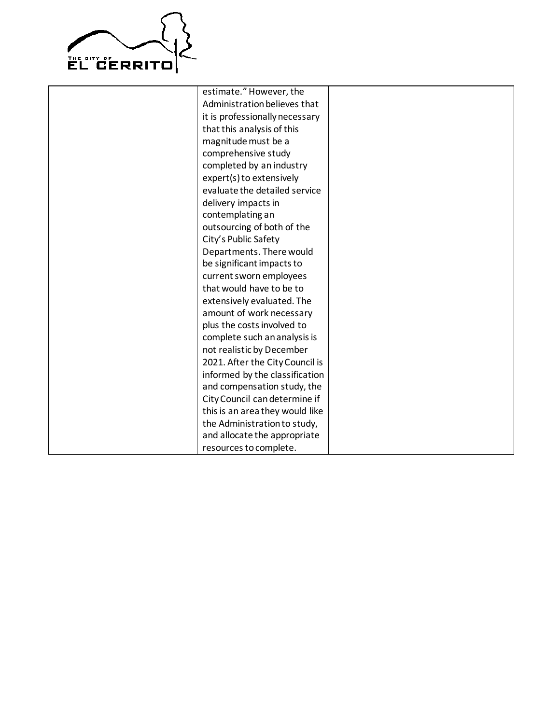

estimate." However, the Administration believes that it is professionally necessary that this analysis of this magnitude must be a comprehensive study completed by an industry expert(s) to extensively evaluate the detailed service delivery impacts in contemplating an outsourcing of both of the City's Public Safety Departments. There would be significant impacts to current sworn employees that would have to be to extensively evaluated. The amount of work necessary plus the costs involved to complete such an analysis is not realistic by December 2021. After the City Council is informed by the classification and compensation study, the City Council can determine if this is an area they would like the Administration to study, and allocate the appropriate resources to complete.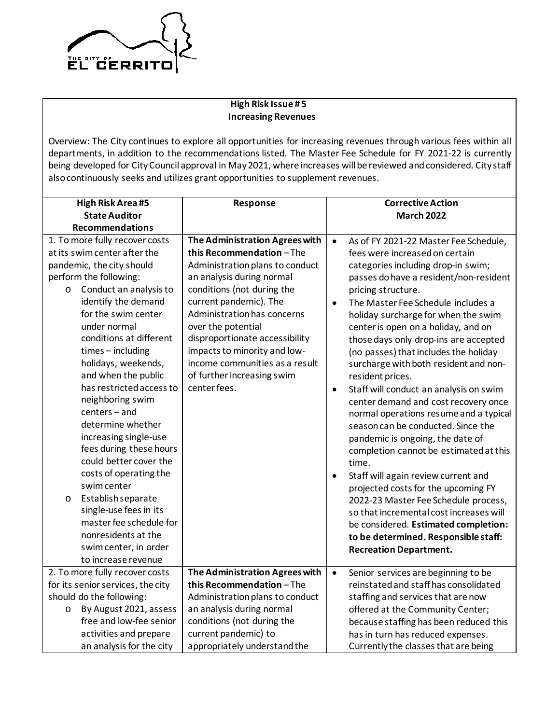

## **High Risk Issue # 5 Increasing Revenues**

Overview: The City continues to explore all opportunities for increasing revenues through various fees within all departments, in addition to the recommendations listed. The Master Fee Schedule for FY 2021-22 is currently being developed for City Council approval in May 2021, where increases will be reviewed and considered. City staff also continuously seeks and utilizes grant opportunities to supplement revenues.

| <b>High Risk Area #5</b>                                                                                                                                                                                                                                                                                                                                                                                                                                                                                                                                                                       | Response                                                                                                                                                                                                                                                                                                                                                                                 | <b>Corrective Action</b>                                                                                                                                                                                                                                                                                                                                                                                                                                                                                                                                                                                                                                                                                                                                                                                                                                                                                                       |  |
|------------------------------------------------------------------------------------------------------------------------------------------------------------------------------------------------------------------------------------------------------------------------------------------------------------------------------------------------------------------------------------------------------------------------------------------------------------------------------------------------------------------------------------------------------------------------------------------------|------------------------------------------------------------------------------------------------------------------------------------------------------------------------------------------------------------------------------------------------------------------------------------------------------------------------------------------------------------------------------------------|--------------------------------------------------------------------------------------------------------------------------------------------------------------------------------------------------------------------------------------------------------------------------------------------------------------------------------------------------------------------------------------------------------------------------------------------------------------------------------------------------------------------------------------------------------------------------------------------------------------------------------------------------------------------------------------------------------------------------------------------------------------------------------------------------------------------------------------------------------------------------------------------------------------------------------|--|
| <b>State Auditor</b>                                                                                                                                                                                                                                                                                                                                                                                                                                                                                                                                                                           |                                                                                                                                                                                                                                                                                                                                                                                          | <b>March 2022</b>                                                                                                                                                                                                                                                                                                                                                                                                                                                                                                                                                                                                                                                                                                                                                                                                                                                                                                              |  |
| <b>Recommendations</b>                                                                                                                                                                                                                                                                                                                                                                                                                                                                                                                                                                         |                                                                                                                                                                                                                                                                                                                                                                                          |                                                                                                                                                                                                                                                                                                                                                                                                                                                                                                                                                                                                                                                                                                                                                                                                                                                                                                                                |  |
| 1. To more fully recover costs<br>at its swim center after the<br>pandemic, the city should<br>perform the following:<br>Conduct an analysis to<br>$\circ$<br>identify the demand<br>for the swim center<br>under normal<br>conditions at different<br>$times - including$<br>holidays, weekends,<br>and when the public<br>has restricted access to<br>neighboring swim<br>centers-and<br>determine whether<br>increasing single-use<br>fees during these hours<br>could better cover the<br>costs of operating the<br>swim center<br>Establish separate<br>$\circ$<br>single-use fees in its | The Administration Agrees with<br>this Recommendation-The<br>Administration plans to conduct<br>an analysis during normal<br>conditions (not during the<br>current pandemic). The<br>Administration has concerns<br>over the potential<br>disproportionate accessibility<br>impacts to minority and low-<br>income communities as a result<br>of further increasing swim<br>center fees. | As of FY 2021-22 Master Fee Schedule,<br>$\bullet$<br>fees were increased on certain<br>categories including drop-in swim;<br>passes do have a resident/non-resident<br>pricing structure.<br>The Master Fee Schedule includes a<br>$\bullet$<br>holiday surcharge for when the swim<br>center is open on a holiday, and on<br>those days only drop-ins are accepted<br>(no passes) that includes the holiday<br>surcharge with both resident and non-<br>resident prices.<br>Staff will conduct an analysis on swim<br>$\bullet$<br>center demand and cost recovery once<br>normal operations resume and a typical<br>season can be conducted. Since the<br>pandemic is ongoing, the date of<br>completion cannot be estimated at this<br>time.<br>Staff will again review current and<br>$\bullet$<br>projected costs for the upcoming FY<br>2022-23 Master Fee Schedule process,<br>so that incremental cost increases will |  |
| master fee schedule for<br>nonresidents at the<br>swim center, in order<br>to increase revenue                                                                                                                                                                                                                                                                                                                                                                                                                                                                                                 |                                                                                                                                                                                                                                                                                                                                                                                          | be considered. Estimated completion:<br>to be determined. Responsible staff:<br><b>Recreation Department.</b>                                                                                                                                                                                                                                                                                                                                                                                                                                                                                                                                                                                                                                                                                                                                                                                                                  |  |
| 2. To more fully recover costs                                                                                                                                                                                                                                                                                                                                                                                                                                                                                                                                                                 | The Administration Agrees with                                                                                                                                                                                                                                                                                                                                                           | Senior services are beginning to be<br>$\bullet$                                                                                                                                                                                                                                                                                                                                                                                                                                                                                                                                                                                                                                                                                                                                                                                                                                                                               |  |
| for its senior services, the city                                                                                                                                                                                                                                                                                                                                                                                                                                                                                                                                                              | this Recommendation-The                                                                                                                                                                                                                                                                                                                                                                  | reinstated and staff has consolidated                                                                                                                                                                                                                                                                                                                                                                                                                                                                                                                                                                                                                                                                                                                                                                                                                                                                                          |  |
| should do the following:                                                                                                                                                                                                                                                                                                                                                                                                                                                                                                                                                                       | Administration plans to conduct                                                                                                                                                                                                                                                                                                                                                          | staffing and services that are now                                                                                                                                                                                                                                                                                                                                                                                                                                                                                                                                                                                                                                                                                                                                                                                                                                                                                             |  |
| By August 2021, assess<br>$\circ$                                                                                                                                                                                                                                                                                                                                                                                                                                                                                                                                                              | an analysis during normal                                                                                                                                                                                                                                                                                                                                                                | offered at the Community Center;                                                                                                                                                                                                                                                                                                                                                                                                                                                                                                                                                                                                                                                                                                                                                                                                                                                                                               |  |
| free and low-fee senior                                                                                                                                                                                                                                                                                                                                                                                                                                                                                                                                                                        | conditions (not during the                                                                                                                                                                                                                                                                                                                                                               | because staffing has been reduced this                                                                                                                                                                                                                                                                                                                                                                                                                                                                                                                                                                                                                                                                                                                                                                                                                                                                                         |  |
| activities and prepare                                                                                                                                                                                                                                                                                                                                                                                                                                                                                                                                                                         | current pandemic) to                                                                                                                                                                                                                                                                                                                                                                     | has in turn has reduced expenses.                                                                                                                                                                                                                                                                                                                                                                                                                                                                                                                                                                                                                                                                                                                                                                                                                                                                                              |  |
| an analysis for the city                                                                                                                                                                                                                                                                                                                                                                                                                                                                                                                                                                       | appropriately understand the                                                                                                                                                                                                                                                                                                                                                             | Currently the classes that are being                                                                                                                                                                                                                                                                                                                                                                                                                                                                                                                                                                                                                                                                                                                                                                                                                                                                                           |  |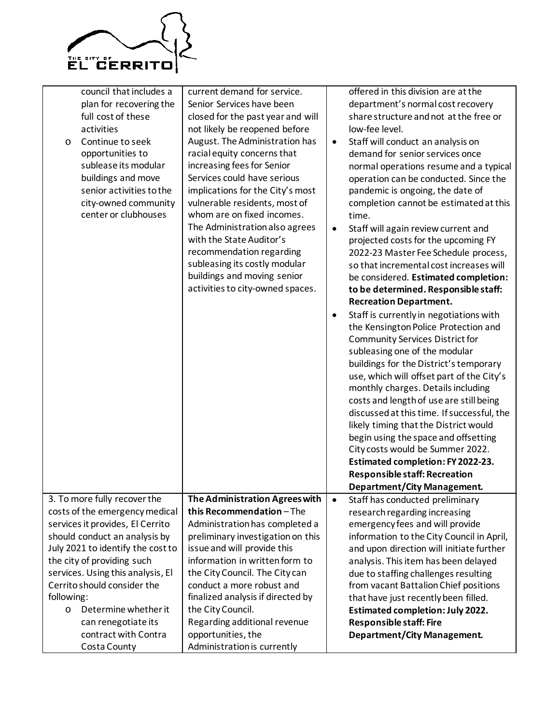

| council that includes a<br>plan for recovering the<br>full cost of these<br>activities<br>Continue to seek<br>$\circ$<br>opportunities to<br>sublease its modular<br>buildings and move<br>senior activities to the<br>city-owned community<br>center or clubhouses                                                                                                                  | current demand for service.<br>Senior Services have been<br>closed for the past year and will<br>not likely be reopened before<br>August. The Administration has<br>racial equity concerns that<br>increasing fees for Senior<br>Services could have serious<br>implications for the City's most<br>vulnerable residents, most of<br>whom are on fixed incomes.<br>The Administration also agrees<br>with the State Auditor's<br>recommendation regarding<br>subleasing its costly modular<br>buildings and moving senior<br>activities to city-owned spaces. | $\bullet$<br>$\bullet$<br>٠ | offered in this division are at the<br>department's normal cost recovery<br>share structure and not at the free or<br>low-fee level.<br>Staff will conduct an analysis on<br>demand for senior services once<br>normal operations resume and a typical<br>operation can be conducted. Since the<br>pandemic is ongoing, the date of<br>completion cannot be estimated at this<br>time.<br>Staff will again review current and<br>projected costs for the upcoming FY<br>2022-23 Master Fee Schedule process,<br>so that incremental cost increases will<br>be considered. Estimated completion:<br>to be determined. Responsible staff:<br><b>Recreation Department.</b><br>Staff is currently in negotiations with<br>the Kensington Police Protection and<br><b>Community Services District for</b><br>subleasing one of the modular<br>buildings for the District's temporary<br>use, which will offset part of the City's<br>monthly charges. Details including<br>costs and length of use are still being<br>discussed at this time. If successful, the<br>likely timing that the District would<br>begin using the space and offsetting<br>City costs would be Summer 2022.<br>Estimated completion: FY 2022-23.<br><b>Responsible staff: Recreation</b><br><b>Department/City Management.</b> |
|--------------------------------------------------------------------------------------------------------------------------------------------------------------------------------------------------------------------------------------------------------------------------------------------------------------------------------------------------------------------------------------|---------------------------------------------------------------------------------------------------------------------------------------------------------------------------------------------------------------------------------------------------------------------------------------------------------------------------------------------------------------------------------------------------------------------------------------------------------------------------------------------------------------------------------------------------------------|-----------------------------|------------------------------------------------------------------------------------------------------------------------------------------------------------------------------------------------------------------------------------------------------------------------------------------------------------------------------------------------------------------------------------------------------------------------------------------------------------------------------------------------------------------------------------------------------------------------------------------------------------------------------------------------------------------------------------------------------------------------------------------------------------------------------------------------------------------------------------------------------------------------------------------------------------------------------------------------------------------------------------------------------------------------------------------------------------------------------------------------------------------------------------------------------------------------------------------------------------------------------------------------------------------------------------------------------|
| 3. To more fully recover the<br>costs of the emergency medical<br>services it provides, El Cerrito<br>should conduct an analysis by<br>July 2021 to identify the cost to<br>the city of providing such<br>services. Using this analysis, El<br>Cerrito should consider the<br>following:<br>Determine whether it<br>O<br>can renegotiate its<br>contract with Contra<br>Costa County | The Administration Agrees with<br>this Recommendation-The<br>Administration has completed a<br>preliminary investigation on this<br>issue and will provide this<br>information in written form to<br>the City Council. The City can<br>conduct a more robust and<br>finalized analysis if directed by<br>the City Council.<br>Regarding additional revenue<br>opportunities, the<br>Administration is currently                                                                                                                                               | $\bullet$                   | Staff has conducted preliminary<br>research regarding increasing<br>emergency fees and will provide<br>information to the City Council in April,<br>and upon direction will initiate further<br>analysis. This item has been delayed<br>due to staffing challenges resulting<br>from vacant Battalion Chief positions<br>that have just recently been filled.<br><b>Estimated completion: July 2022.</b><br><b>Responsible staff: Fire</b><br><b>Department/City Management.</b>                                                                                                                                                                                                                                                                                                                                                                                                                                                                                                                                                                                                                                                                                                                                                                                                                     |